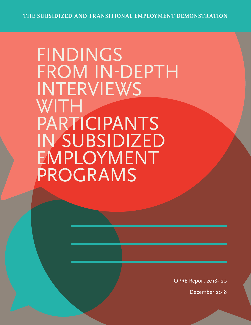FINDINGS FROM IN-DEPTH INTERVIEWS WITH PARTICIPANTS IN SUBSIDIZED EMPLOYMENT PROGRAMS

OPRE Report 2018-120

December 2018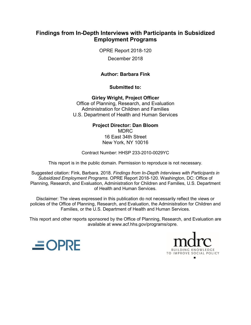# **Findings from In-Depth Interviews with Participants in Subsidized Employment Programs**

OPRE Report 2018-120

December 2018

### **Author: Barbara Fink**

**Submitted to:** 

**Girley Wright, Project Officer** Office of Planning, Research, and Evaluation Administration for Children and Families U.S. Department of Health and Human Services

> **Project Director: Dan Bloom** MDRC 16 East 34th Street New York, NY 10016

Contract Number: HHSP 233-2010-0029YC

This report is in the public domain. Permission to reproduce is not necessary.

Suggested citation: Fink, Barbara. 2018. *Findings from In-Depth Interviews with Participants in Subsidized Employment Programs.* OPRE Report 2018-120. Washington, DC: Office of Planning, Research, and Evaluation, Administration for Children and Families, U.S. Department of Health and Human Services.

Disclaimer: The views expressed in this publication do not necessarily reflect the views or policies of the Office of Planning, Research, and Evaluation, the Administration for Children and Families, or the U.S. Department of Health and Human Services.

This report and other reports sponsored by the Office of Planning, Research, and Evaluation are available at www.acf.hhs.gov/programs/opre.



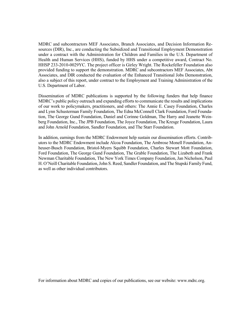MDRC and subcontractors MEF Associates, Branch Associates, and Decision Information Resources (DIR), Inc., are conducting the Subsidized and Transitional Employment Demonstration under a contract with the Administration for Children and Families in the U.S. Department of Health and Human Services (HHS), funded by HHS under a competitive award, Contract No. HHSP 233-2010-0029YC. The project officer is Girley Wright. The Rockefeller Foundation also provided funding to support the demonstration. MDRC and subcontractors MEF Associates, Abt Associates, and DIR conducted the evaluation of the Enhanced Transitional Jobs Demonstration, also a subject of this report, under contract to the Employment and Training Administration of the U.S. Department of Labor.

Dissemination of MDRC publications is supported by the following funders that help finance MDRC's public policy outreach and expanding efforts to communicate the results and implications of our work to policymakers, practitioners, and others: The Annie E. Casey Foundation, Charles and Lynn Schusterman Family Foundation, The Edna McConnell Clark Foundation, Ford Foundation, The George Gund Foundation, Daniel and Corinne Goldman, The Harry and Jeanette Weinberg Foundation, Inc., The JPB Foundation, The Joyce Foundation, The Kresge Foundation, Laura and John Arnold Foundation, Sandler Foundation, and The Starr Foundation.

In addition, earnings from the MDRC Endowment help sustain our dissemination efforts. Contributors to the MDRC Endowment include Alcoa Foundation, The Ambrose Monell Foundation, Anheuser-Busch Foundation, Bristol-Myers Squibb Foundation, Charles Stewart Mott Foundation, Ford Foundation, The George Gund Foundation, The Grable Foundation, The Lizabeth and Frank Newman Charitable Foundation, The New York Times Company Foundation, Jan Nicholson, Paul H. O'Neill Charitable Foundation, John S. Reed, Sandler Foundation, and The Stupski Family Fund, as well as other individual contributors.

For information about MDRC and copies of our publications, see our website: www.mdrc.org.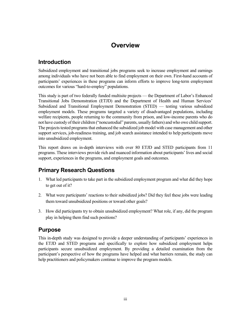# **Overview**

# **Introduction**

Subsidized employment and transitional jobs programs seek to increase employment and earnings among individuals who have not been able to find employment on their own. First-hand accounts of participants' experiences in these programs can inform efforts to improve long-term employment outcomes for various "hard-to-employ" populations.

This study is part of two federally funded multisite projects — the Department of Labor's Enhanced Transitional Jobs Demonstration (ETJD) and the Department of Health and Human Services' Subsidized and Transitional Employment Demonstration (STED) — testing various subsidized employment models. These programs targeted a variety of disadvantaged populations, including welfare recipients, people returning to the community from prison, and low-income parents who do not have custody of their children ("noncustodial" parents, usually fathers) and who owe child support. The projects tested programs that enhanced the subsidized job model with case management and other support services, job-readiness training, and job search assistance intended to help participants move into unsubsidized employment.

This report draws on in-depth interviews with over 80 ETJD and STED participants from 11 programs. These interviews provide rich and nuanced information about participants' lives and social support, experiences in the programs, and employment goals and outcomes.

# **Primary Research Questions**

- 1. What led participants to take part in the subsidized employment program and what did they hope to get out of it?
- 2. What were participants' reactions to their subsidized jobs? Did they feel these jobs were leading them toward unsubsidized positions or toward other goals?
- 3. How did participants try to obtain unsubsidized employment? What role, if any, did the program play in helping them find such positions?

### **Purpose**

This in-depth study was designed to provide a deeper understanding of participants' experiences in the ETJD and STED programs and specifically to explore how subsidized employment helps participants secure unsubsidized employment. By providing a detailed examination from the participant's perspective of how the programs have helped and what barriers remain, the study can help practitioners and policymakers continue to improve the program models.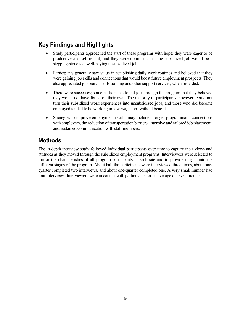# **Key Findings and Highlights**

- Study participants approached the start of these programs with hope; they were eager to be productive and self-reliant, and they were optimistic that the subsidized job would be a stepping-stone to a well-paying unsubsidized job.
- Participants generally saw value in establishing daily work routines and believed that they were gaining job skills and connections that would boost future employment prospects. They also appreciated job search skills training and other support services, when provided.
- There were successes; some participants found jobs through the program that they believed they would not have found on their own. The majority of participants, however, could not turn their subsidized work experiences into unsubsidized jobs, and those who did become employed tended to be working in low-wage jobs without benefits.
- Strategies to improve employment results may include stronger programmatic connections with employers, the reduction of transportation barriers, intensive and tailored job placement, and sustained communication with staff members.

# **Methods**

The in-depth interview study followed individual participants over time to capture their views and attitudes as they moved through the subsidized employment programs. Interviewees were selected to mirror the characteristics of all program participants at each site and to provide insight into the different stages of the program. About half the participants were interviewed three times, about onequarter completed two interviews, and about one-quarter completed one. A very small number had four interviews. Interviewers were in contact with participants for an average of seven months.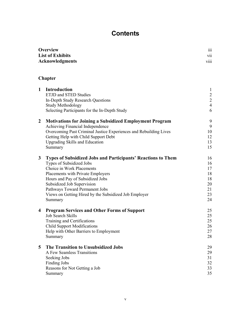# **Contents**

| <b>Overview</b>         | $\cdots$<br>111         |
|-------------------------|-------------------------|
| <b>List of Exhibits</b> | $\cdot$ .<br>V11        |
| Acknowledgments         | $\cdots$<br><b>V111</b> |

# **Chapter**

| $\mathbf{1}$            | Introduction<br><b>ETJD</b> and <b>STED</b> Studies<br>In-Depth Study Research Questions<br><b>Study Methodology</b><br>Selecting Participants for the In-Depth Study                                                                                                                                                                     | $\mathbf{1}$<br>$\frac{2}{2}$<br>$\overline{4}$<br>6 |
|-------------------------|-------------------------------------------------------------------------------------------------------------------------------------------------------------------------------------------------------------------------------------------------------------------------------------------------------------------------------------------|------------------------------------------------------|
| $\boldsymbol{2}$        | <b>Motivations for Joining a Subsidized Employment Program</b><br>Achieving Financial Independence<br>Overcoming Past Criminal Justice Experiences and Rebuilding Lives<br>Getting Help with Child Support Debt<br><b>Upgrading Skills and Education</b><br>Summary                                                                       | 9<br>9<br>10<br>12<br>13<br>15                       |
| 3                       | <b>Types of Subsidized Jobs and Participants' Reactions to Them</b><br>Types of Subsidized Jobs<br>Choice in Work Placements<br>Placements with Private Employers<br>Hours and Pay of Subsidized Jobs<br>Subsidized Job Supervision<br>Pathways Toward Permanent Jobs<br>Views on Getting Hired by the Subsidized Job Employer<br>Summary | 16<br>16<br>17<br>18<br>18<br>20<br>21<br>23<br>24   |
| $\overline{\mathbf{4}}$ | <b>Program Services and Other Forms of Support</b><br>Job Search Skills<br>Training and Certifications<br><b>Child Support Modifications</b><br>Help with Other Barriers to Employment<br>Summary                                                                                                                                         | 25<br>25<br>25<br>26<br>27<br>28                     |
| 5                       | The Transition to Unsubsidized Jobs<br>A Few Seamless Transitions<br>Seeking Jobs<br><b>Finding Jobs</b><br>Reasons for Not Getting a Job<br>Summary                                                                                                                                                                                      | 29<br>29<br>31<br>32<br>33<br>35                     |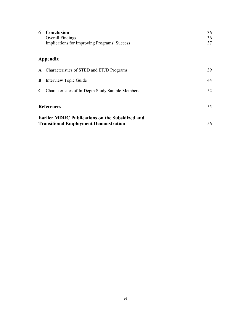| 6 | Conclusion<br><b>Overall Findings</b><br>Implications for Improving Programs' Success                  | 36<br>36<br>37 |
|---|--------------------------------------------------------------------------------------------------------|----------------|
|   | Appendix                                                                                               |                |
|   | A Characteristics of STED and ETJD Programs                                                            | 39.            |
| B | Interview Topic Guide                                                                                  | 44             |
|   | C Characteristics of In-Depth Study Sample Members                                                     | 52             |
|   | <b>References</b>                                                                                      | 55             |
|   | <b>Earlier MDRC Publications on the Subsidized and</b><br><b>Transitional Employment Demonstration</b> | 56             |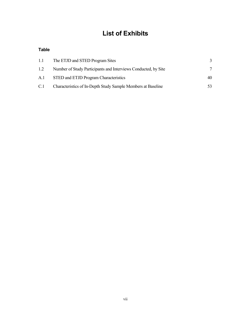# **List of Exhibits**

#### **Table**

| 1.1 | The ETJD and STED Program Sites                                |     |
|-----|----------------------------------------------------------------|-----|
| 1.2 | Number of Study Participants and Interviews Conducted, by Site |     |
|     | A.1 STED and ETJD Program Characteristics                      | 40  |
| C.1 | Characteristics of In-Depth Study Sample Members at Baseline   | 53. |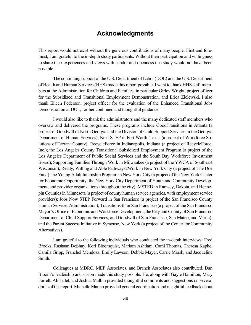# **Acknowledgments**

This report would not exist without the generous contributions of many people. First and foremost, I am grateful to the in-depth study participants. Without their participation and willingness to share their experiences and views with candor and openness this study would not have been possible.

The continuing support of the U.S. Department of Labor (DOL) and the U.S. Department of Health and Human Services (HHS) made this report possible. I want to thank HHS staff members at the Administration for Children and Families, in particular Girley Wright, project officer for the Subsidized and Transitional Employment Demonstration, and Erica Zielewski. I also thank Eileen Pederson, project officer for the evaluation of the Enhanced Transitional Jobs Demonstration at DOL, for her continued and thoughtful guidance.

I would also like to thank the administrators and the many dedicated staff members who oversaw and delivered the programs. These programs include GoodTransitions in Atlanta (a project of Goodwill of North Georgia and the Division of Child Support Services in the Georgia Department of Human Services); Next STEP in Fort Worth, Texas (a project of Workforce Solutions of Tarrant County); RecycleForce in Indianapolis, Indiana (a project of RecycleForce, Inc.); the Los Angeles County Transitional Subsidized Employment Program (a project of the Los Angeles Department of Public Social Services and the South Bay Workforce Investment Board); Supporting Families Through Work in Milwaukee (a project of the YWCA of Southeast Wisconsin); Ready, Willing and Able Pathways2Work in New York City (a project of The Doe Fund); the Young Adult Internship Program in New York City (a project of the New York Center for Economic Opportunity, the New York City Department of Youth and Community Development, and provider organizations throughout the city); MSTED in Ramsey, Dakota, and Hennepin Counties in Minnesota (a project of county human service agencies, with employment service providers); Jobs Now STEP Forward in San Francisco (a project of the San Francisco County Human Services Administration); TransitionsSF in San Francisco (a project of the San Francisco Mayor's Office of Economic and Workforce Development, the City and County of San Francisco Department of Child Support Services, and Goodwill of San Francisco, San Mateo, and Marin); and the Parent Success Initiative in Syracuse, New York (a project of the Center for Community Alternatives).

I am grateful to the following individuals who conducted the in-depth interviews: Fred Brooks, Rashaan DeShay, Kori Bloomquist, Mariam Ashtiani, Cami Thomas, Theresa Kapke, Camila Gripp, Franchel Mendoza, Emily Lawson, Debbie Mayer, Carrie Marsh, and Jacqueline Smith.

Colleagues at MDRC, MEF Associates, and Branch Associates also contributed. Dan Bloom's leadership and vision made this study possible. He, along with Gayle Hamilton, Mary Farrell, Ali Tufel, and Joshua Malbin provided thoughtful comments and suggestions on several drafts of this report. Michelle Manno provided general coordination and insightful feedback about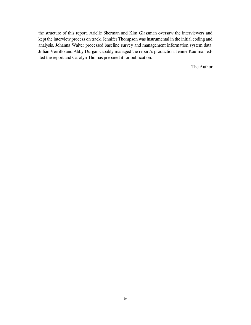the structure of this report. Arielle Sherman and Kim Glassman oversaw the interviewers and kept the interview process on track. Jennifer Thompson was instrumental in the initial coding and analysis. Johanna Walter processed baseline survey and management information system data. Jillian Verrillo and Abby Durgan capably managed the report's production. Jennie Kaufman edited the report and Carolyn Thomas prepared it for publication.

The Author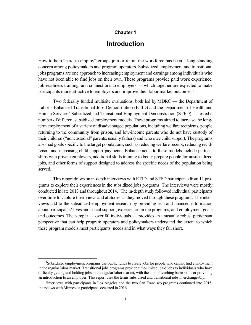#### **Chapter 1**

# **Introduction**

How to help "hard-to-employ" groups join or rejoin the workforce has been a long-standing concern among policymakers and program operators. Subsidized employment and transitional jobs programs are one approach to increasing employment and earnings among individuals who have not been able to find jobs on their own. These programs provide paid work experience, job-readiness training, and connections to employers — which together are expected to make participants more attractive to employers and improve their labor market outcomes.<sup>[1](#page-10-0)</sup>

Two federally funded multisite evaluations, both led by MDRC — the Department of Labor's Enhanced Transitional Jobs Demonstration (ETJD) and the Department of Health and Human Services' Subsidized and Transitional Employment Demonstration (STED) — tested a number of different subsidized employment models. These programs aimed to increase the longterm employment of a variety of disadvantaged populations, including welfare recipients, people returning to the community from prison, and low-income parents who do not have custody of their children ("noncustodial" parents, usually fathers) and who owe child support. The programs also had goals specific to the target populations, such as reducing welfare receipt, reducing recidivism, and increasing child support payments. Enhancements to these models include partnerships with private employers, additional skills training to better prepare people for unsubsidized jobs, and other forms of support designed to address the specific needs of the population being served.

This report draws on in-depth interviews with ETJD and STED participants from 11 programs to explore their experiences in the subsidized jobs programs. The interviews were mostly conducted in late 2013 and throughout 2014. [2](#page-10-1) The in-depth study followed individual participants over time to capture their views and attitudes as they moved through these programs. The interviews add to the subsidized employment research by providing rich and nuanced information about participants' lives and social support, experiences in the programs, and employment goals and outcomes. The sample — over 80 individuals — provides an unusually robust participant perspective that can help program operators and policymakers understand the extent to which these program models meet participants' needs and in what ways they fall short.

<span id="page-10-0"></span> <sup>1</sup> <sup>1</sup>Subsidized employment programs use public funds to create jobs for people who cannot find employment in the regular labor market. Transitional jobs programs provide time-limited, paid jobs to individuals who have difficulty getting and holding jobs in the regular labor market, with the aim of teaching basic skills or providing an introduction to an employer. This report uses the terms subsidized and transitional jobs interchangeably.

<span id="page-10-1"></span><sup>2</sup> Interviews with participants in Los Angeles and the two San Francisco programs continued into 2015. Interviews with Minnesota participants occurred in 2016.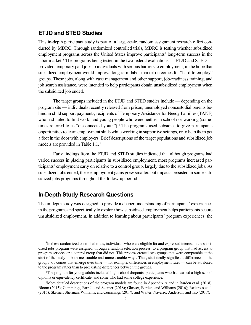#### **ETJD and STED Studies**

This in-depth participant study is part of a large-scale, random assignment research effort conducted by MDRC. Through randomized controlled trials, MDRC is testing whether subsidized employment programs across the United States improve participants' long-term success in the labor market.<sup>[3](#page-11-0)</sup> The programs being tested in the two federal evaluations — ETJD and STED provided temporary paid jobs to individuals with serious barriers to employment, in the hope that subsidized employment would improve long-term labor market outcomes for "hard-to-employ" groups. These jobs, along with case management and other support, job-readiness training, and job search assistance, were intended to help participants obtain unsubsidized employment when the subsidized job ended.

The target groups included in the ETJD and STED studies include — depending on the program site — individuals recently released from prison, unemployed noncustodial parents behind in child support payments, recipients of Temporary Assistance for Needy Families (TANF) who had failed to find work, and young people who were neither in school nor working (some-times referred to as "disconnected youth").<sup>[4](#page-11-1)</sup> The programs used subsidies to give participants opportunities to learn employment skills while working in supportive settings, or to help them get a foot in the door with employers. Brief descriptions of the target populations and subsidized job models are provided in Table 1.1.<sup>5</sup>

Early findings from the ETJD and STED studies indicated that although programs had varied success in placing participants in subsidized employment, most programs increased participants' employment early on relative to a control group, largely due to the subsidized jobs. As subsidized jobs ended, these employment gains grew smaller, but impacts persisted in some subsidized jobs programs throughout the follow-up period.

### **In-Depth Study Research Questions**

The in-depth study was designed to provide a deeper understanding of participants' experiences in the programs and specifically to explore how subsidized employment helps participants secure unsubsidized employment. In addition to learning about participants' program experiences, the

<span id="page-11-0"></span> $\overline{\phantom{a}}$  ${}^{3}$ In these randomized controlled trials, individuals who were eligible for and expressed interest in the subsidized jobs program were assigned, through a random selection process, to a program group that had access to program services or a control group that did not. This process created two groups that were comparable at the start of the study in both measurable and unmeasurable ways. Thus, statistically significant differences in the groups' outcomes that emerge over time — for example, differences in employment rates — can be attributed to the program rather than to preexisting differences between the groups.

<span id="page-11-1"></span><sup>4</sup> The program for young adults included high school dropouts, participants who had earned a high school diploma or equivalency certificate, and some who had some college experience.

<span id="page-11-2"></span><sup>5</sup> More detailed descriptions of the program models are found in Appendix A and in Barden et al. (2018); Bloom (2015); Cummings, Farrell, and Skemer (2018); Glosser, Barden, and Williams (2016); Redcross et al. (2016); Skemer, Sherman, Williams, and Cummings (2017); and Walter, Navarro, Anderson, and Tso (2017).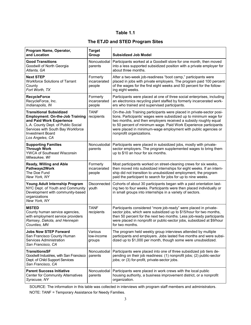### **Table 1.1**

### **The ETJD and STED Program Sites**

| Program Name, Operator,<br>and Location                                                                                                                                                                                       | <b>Target</b><br>Group             | <b>Subsidized Job Model</b>                                                                                                                                                                                                                                                                                                                                                    |
|-------------------------------------------------------------------------------------------------------------------------------------------------------------------------------------------------------------------------------|------------------------------------|--------------------------------------------------------------------------------------------------------------------------------------------------------------------------------------------------------------------------------------------------------------------------------------------------------------------------------------------------------------------------------|
| <b>Good Transitions</b><br>Goodwill of North Georgia<br>Atlanta, GA                                                                                                                                                           | Noncustodial<br>parents            | Participants worked at a Goodwill store for one month, then moved<br>into a less supported subsidized position with a private employer for<br>about three months.                                                                                                                                                                                                              |
| <b>Next STEP</b><br><b>Workforce Solutions of Tarrant</b><br>County<br>Fort Worth, TX                                                                                                                                         | Formerly<br>incarcerated<br>people | After a two-week job-readiness "boot camp," participants were<br>placed in jobs with private employers. The program paid 100 percent<br>of the wages for the first eight weeks and 50 percent for the follow-<br>ing eight weeks.                                                                                                                                              |
| <b>RecycleForce</b><br>RecycleForce, Inc.<br>Indianapolis, IN                                                                                                                                                                 | Formerly<br>incarcerated<br>people | Participants were placed at one of three social enterprises, including<br>an electronics recycling plant staffed by formerly incarcerated work-<br>ers who trained and supervised participants.                                                                                                                                                                                |
| <b>Transitional Subsidized</b><br><b>Employment: On-the-Job Training</b><br>and Paid Work Experience<br>L.A. County Dept. of Public Social<br>Services with South Bay Workforce<br><b>Investment Board</b><br>Los Angeles, CA | <b>TANF</b><br>recipients          | On-the-Job Training participants were placed in private-sector posi-<br>tions. Participants' wages were subsidized up to minimum wage for<br>two months, and then employers received a subsidy roughly equal<br>to 50 percent of minimum wage. Paid Work Experience participants<br>were placed in minimum-wage employment with public agencies or<br>nonprofit organizations. |
| <b>Supporting Families</b><br><b>Through Work</b><br>YWCA of Southeast Wisconsin<br>Milwaukee, WI                                                                                                                             | Noncustodial<br>parents            | Participants were placed in subsidized jobs, mostly with private-<br>sector employers. The program supplemented wages to bring them<br>up to \$10 an hour for six months.                                                                                                                                                                                                      |
| Ready, Willing and Able<br>Pathways2Work<br>The Doe Fund<br>New York, NY                                                                                                                                                      | Formerly<br>incarcerated<br>people | Most participants worked on street-cleaning crews for six weeks,<br>then moved into subsidized internships for eight weeks. If an intern-<br>ship did not transition to unsubsidized employment, the program<br>paid the participant to search for jobs for up to nine weeks.                                                                                                  |
| Young Adult Internship Program<br>NYC Dept. of Youth and Community<br>Development with community-based<br>organizations<br>New York, NY                                                                                       | Disconnected<br>youth              | Cohorts of about 30 participants began with a paid orientation last-<br>ing two to four weeks. Participants were then placed individually or<br>in small groups into internships in a variety of sectors.                                                                                                                                                                      |
| <b>MSTED</b><br>County human service agencies,<br>with employment service providers<br>Ramsey, Dakota, and Hennepin<br>Counties, MN                                                                                           | <b>TANF</b><br>recipients          | Participants considered "more job-ready" were placed in private-<br>sector jobs, which were subsidized up to \$15/hour for two months,<br>then 50 percent for the next two months. Less job-ready participants<br>were placed in nonprofit or public-sector jobs, subsidized at \$9/hour<br>for two months.                                                                    |
| <b>Jobs Now STEP Forward</b><br>San Francisco County Human<br>Services Administration<br>San Francisco, CA                                                                                                                    | Various<br>low-income<br>groups    | The program held weekly group interviews attended by multiple<br>participants and employers. Jobs lasted five months and were subsi-<br>dized up to \$1,000 per month, though some were unsubsidized.                                                                                                                                                                          |
| <b>TransitionsSF</b><br>Goodwill Industries, with San Francisco<br>Dept. of Child Support Services<br>San Francisco, CA                                                                                                       | Noncustodial<br>parents            | Participants were placed into one of three subsidized job tiers de-<br>pending on their job readiness: (1) nonprofit jobs; (2) public-sector<br>jobs; or (3) for-profit, private-sector jobs.                                                                                                                                                                                  |
| <b>Parent Success Initiative</b><br><b>Center for Community Alternatives</b><br>Syracuse, NY                                                                                                                                  | Noncustodial<br>parents            | Participants were placed in work crews with the local public<br>housing authority, a business improvement district, or a nonprofit<br>organization.                                                                                                                                                                                                                            |

SOURCE: The information in this table was collected in interviews with program staff members and administrators. NOTE: TANF = Temporary Assistance for Needy Families.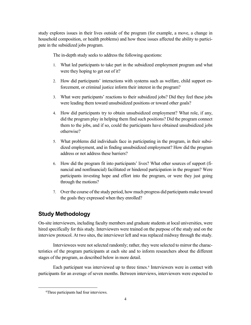study explores issues in their lives outside of the program (for example, a move, a change in household composition, or health problems) and how these issues affected the ability to participate in the subsidized jobs program.

The in-depth study seeks to address the following questions:

- 1. What led participants to take part in the subsidized employment program and what were they hoping to get out of it?
- 2. How did participants' interactions with systems such as welfare, child support enforcement, or criminal justice inform their interest in the program?
- 3. What were participants' reactions to their subsidized jobs? Did they feel these jobs were leading them toward unsubsidized positions or toward other goals?
- 4. How did participants try to obtain unsubsidized employment? What role, if any, did the program play in helping them find such positions? Did the program connect them to the jobs, and if so, could the participants have obtained unsubsidized jobs otherwise?
- 5. What problems did individuals face in participating in the program, in their subsidized employment, and in finding unsubsidized employment? How did the program address or not address these barriers?
- 6. How did the program fit into participants' lives? What other sources of support (financial and nonfinancial) facilitated or hindered participation in the program? Were participants investing hope and effort into the program, or were they just going through the motions?
- 7. Over the course of the study period, how much progress did participants make toward the goals they expressed when they enrolled?

# **Study Methodology**

On-site interviewers, including faculty members and graduate students at local universities, were hired specifically for this study. Interviewers were trained on the purpose of the study and on the interview protocol. At two sites, the interviewer left and was replaced midway through the study.

Interviewees were not selected randomly; rather, they were selected to mirror the characteristics of the program participants at each site and to inform researchers about the different stages of the program, as described below in more detail.

Each participant was interviewed up to three times.<sup>[6](#page-13-0)</sup> Interviewers were in contact with participants for an average of seven months. Between interviews, interviewers were expected to

<span id="page-13-0"></span> $\overline{\phantom{0}}$ Three participants had four interviews.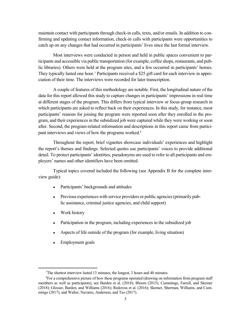maintain contact with participants through check-in calls, texts, and/or emails. In addition to confirming and updating contact information, check-in calls with participants were opportunities to catch up on any changes that had occurred in participants' lives since the last formal interview.

Most interviews were conducted in person and held in public spaces convenient to participants and accessible via public transportation (for example, coffee shops, restaurants, and public libraries). Others were held at the program sites, and a few occurred in participants' homes. They typically lasted one hour. [7](#page-14-0) Participants received a \$25 gift card for each interview in appreciation of their time. The interviews were recorded for later transcription.

A couple of features of this methodology are notable. First, the longitudinal nature of the data for this report allowed this study to capture changes in participants' impressions in real time at different stages of the program. This differs from typical interview or focus-group research in which participants are asked to reflect back on their experiences. In this study, for instance, most participants' reasons for joining the program were reported soon after they enrolled in the program, and their experiences in the subsidized job were captured while they were working or soon after. Second, the program-related information and descriptions in this report came from partici-pant interviews and views of how the programs worked.<sup>[8](#page-14-1)</sup>

Throughout the report, brief vignettes showcase individuals' experiences and highlight the report's themes and findings. Selected quotes use participants' voices to provide additional detail. To protect participants' identities, pseudonyms are used to refer to all participants and employers' names and other identifiers have been omitted.

Typical topics covered included the following (see Appendix B for the complete interview guide):

- Participants' backgrounds and attitudes
- Previous experiences with service providers or public agencies (primarily public assistance, criminal justice agencies, and child support)
- Work history
- Participation in the program, including experiences in the subsidized job
- Aspects of life outside of the program (for example, living situation)
- Employment goals

 $\frac{1}{7}$ The shortest interview lasted 13 minutes; the longest, 3 hours and 40 minutes.

<span id="page-14-1"></span><span id="page-14-0"></span><sup>&</sup>lt;sup>8</sup>For a comprehensive picture of how these programs operated (drawing on information from program staff members as well as participants), see Barden et al. (2018); Bloom (2015); Cummings, Farrell, and Skemer (2018); Glosser, Barden, and Williams (2016); Redcross et al. (2016); Skemer, Sherman, Williams, and Cummings (2017); and Walter, Navarro, Anderson, and Tso (2017).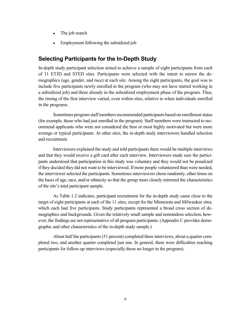- The job search
- Employment following the subsidized job

#### **Selecting Participants for the In-Depth Study**

In-depth study participant selection aimed to achieve a sample of eight participants from each of 11 ETJD and STED sites. Participants were selected with the intent to mirror the demographics (age, gender, and race) at each site. Among the eight participants, the goal was to include five participants newly enrolled in the program (who may not have started working in a subsidized job) and three already in the subsidized employment phase of the program. Thus, the timing of the first interview varied, even within sites, relative to when individuals enrolled in the programs.

Sometimes program staffmembersrecommended participants based on enrollment status (for example, those who had just enrolled in the program). Staff members were instructed to recommend applicants who were not considered the best or most highly motivated but were more average or typical participants. At other sites, the in-depth study interviewers handled selection and recruitment.

Interviewers explained the study and told participants there would be multiple interviews and that they would receive a gift card after each interview. Interviewers made sure the participants understood that participation in this study was voluntary and they would not be penalized if they decided they did not want to be interviewed. If more people volunteered than were needed, the interviewer selected the participants. Sometimes interviewers chose randomly, other times on the basis of age, race, and/or ethnicity so that the group more closely mirrored the characteristics of the site's total participant sample.

As Table 1.2 indicates, participant recruitment for the in-depth study came close to the target of eight participants at each of the 11 sites, except for the Minnesota and Milwaukee sites, which each had five participants. Study participants represented a broad cross section of demographics and backgrounds. Given the relatively small sample and nonrandom selection, however, the findings are not representative of all program participants. (Appendix C provides demographic and other characteristics of the in-depth study sample.)

About half the participants (51 percent) completed three interviews, about a quarter completed two, and another quarter completed just one. In general, there were difficulties reaching participants for follow-up interviews (especially those no longer in the program).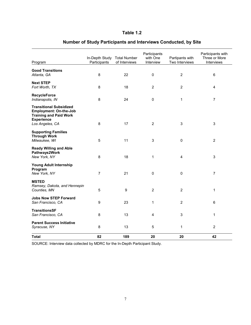### **Table 1.2**

| Program                                                                                                                                  | In-Depth Study<br>Participants | <b>Total Number</b><br>of Interviews | Participants<br>with One<br>Interview | Partipants with<br>Two Interviews | Participants with<br>Three or More<br>Interviews |
|------------------------------------------------------------------------------------------------------------------------------------------|--------------------------------|--------------------------------------|---------------------------------------|-----------------------------------|--------------------------------------------------|
| <b>Good Transitions</b><br>Atlanta, GA                                                                                                   | 8                              | 22                                   | 0                                     | $\overline{c}$                    | 6                                                |
| <b>Next STEP</b><br>Fort Worth, TX                                                                                                       | 8                              | 18                                   | $\overline{2}$                        | $\overline{c}$                    | $\overline{4}$                                   |
| <b>RecycleForce</b><br>Indianapolis, IN                                                                                                  | 8                              | 24                                   | $\pmb{0}$                             | 1                                 | $\overline{7}$                                   |
| <b>Transitional Subsidized</b><br><b>Employment: On-the-Job</b><br><b>Training and Paid Work</b><br><b>Experience</b><br>Los Angeles, CA | 8                              | 17                                   | $\overline{2}$                        | 3                                 | 3                                                |
| <b>Supporting Families</b><br><b>Through Work</b><br>Milwaukee, WI                                                                       | 5                              | 11                                   | $\mathsf 3$                           | $\mathbf 0$                       | $\overline{2}$                                   |
| <b>Ready Willing and Able</b><br>Pathways2Work<br>New York, NY                                                                           | 8                              | 18                                   | $\mathbf{1}$                          | 4                                 | 3                                                |
| Young Adult Internship<br>Program<br>New York, NY                                                                                        | $\overline{7}$                 | 21                                   | $\pmb{0}$                             | 0                                 | $\overline{7}$                                   |
| <b>MSTED</b><br>Ramsey, Dakota, and Hennepin<br>Counties, MN                                                                             | 5                              | 9                                    | $\overline{2}$                        | $\overline{2}$                    | 1                                                |
| <b>Jobs Now STEP Forward</b><br>San Francisco, CA                                                                                        | 9                              | 23                                   | 1                                     | $\overline{c}$                    | 6                                                |
| <b>TransitionsSF</b><br>San Francisco, CA                                                                                                | 8                              | 13                                   | 4                                     | 3                                 | 1                                                |
| <b>Parent Success Initiative</b><br>Syracuse, NY                                                                                         | 8                              | 13                                   | 5                                     | 1                                 | $\overline{c}$                                   |
| <b>Total</b>                                                                                                                             | 82                             | 189                                  | 20                                    | 20                                | 42                                               |

### **Number of Study Participants and Interviews Conducted, by Site**

SOURCE: Interview data collected by MDRC for the In-Depth Participant Study.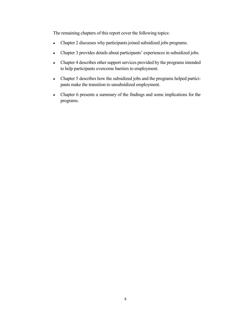The remaining chapters of this report cover the following topics:

- Chapter 2 discusses why participants joined subsidized jobs programs.
- Chapter 3 provides details about participants' experiences in subsidized jobs.
- Chapter 4 describes other support services provided by the programs intended to help participants overcome barriers to employment.
- Chapter 5 describes how the subsidized jobs and the programs helped participants make the transition to unsubsidized employment.
- Chapter 6 presents a summary of the findings and some implications for the programs.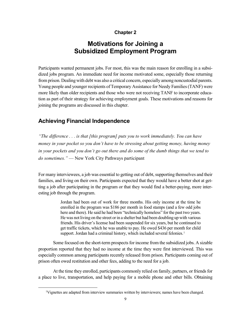#### **Chapter 2**

# **Motivations for Joining a Subsidized Employment Program**

Participants wanted permanent jobs. For most, this was the main reason for enrolling in a subsidized jobs program. An immediate need for income motivated some, especially those returning from prison. Dealing with debt was also a critical concern, especially among noncustodial parents. Young people and younger recipients of Temporary Assistance for Needy Families (TANF) were more likely than older recipients and those who were not receiving TANF to incorporate education as part of their strategy for achieving employment goals. These motivations and reasons for joining the programs are discussed in this chapter.

### **Achieving Financial Independence**

*"The difference . . . is that [this program] puts you to work immediately. You can have money in your pocket so you don't have to be stressing about getting money, having money in your pockets and you don't go out there and do some of the dumb things that we tend to do sometimes."* — New York City Pathways participant

For many interviewees, a job was essential to getting out of debt, supporting themselves and their families, and living on their own. Participants expected that they would have a better shot at getting a job after participating in the program or that they would find a better-paying, more interesting job through the program.

> Jordan had been out of work for three months. His only income at the time he enrolled in the program was \$186 per month in food stamps (and a few odd jobs here and there). He said he had been "technically homeless" for the past two years. He was not living on the street or in a shelter but had been doubling up with various friends. His driver's license had been suspended for six years, but he continued to get traffic tickets, which he was unable to pay. He owed \$436 per month for child support. Jordan had a criminal history, which included several felonies.<sup>[1](#page-18-0)</sup>

Some focused on the short-term prospects for income from the subsidized jobs. A sizable proportion reported that they had no income at the time they were first interviewed. This was especially common among participants recently released from prison. Participants coming out of prison often owed restitution and other fees, adding to the need for a job.

At the time they enrolled, participants commonly relied on family, partners, or friends for a place to live, transportation, and help paying for a mobile phone and other bills. Obtaining

<span id="page-18-0"></span> <sup>1</sup> Vignettes are adapted from interview summaries written by interviewers; names have been changed.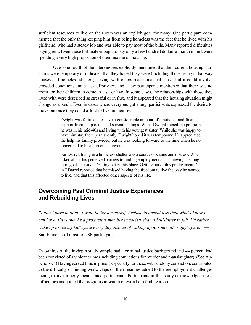sufficient resources to live on their own was an explicit goal for many. One participant commented that the only thing keeping him from being homeless was the fact that he lived with his girlfriend, who had a steady job and was able to pay most of the bills. Many reported difficulties paying rent. Even those fortunate enough to pay only a few hundred dollars a month in rent were spending a very high proportion of their income on housing.

Over one-fourth of the interviewees explicitly mentioned that their current housing situations were temporary or indicated that they hoped they were (including those living in halfway houses and homeless shelters). Living with others made financial sense, but it could involve crowded conditions and a lack of privacy, and a few participants mentioned that there was no room for their children to come to visit or live. In some cases, the relationships with those they lived with were described as stressful or in flux, and it appeared that the housing situation might change as a result. Even in cases where everyone got along, participants expressed the desire to move out once they could afford to live on their own.

> Dwight was fortunate to have a considerable amount of emotional and financial support from his parents and several siblings. When Dwight joined the program he was in his mid-40s and living with his youngest sister. While she was happy to have him stay there permanently, Dwight hoped it was temporary. He appreciated the help his family provided, but he was looking forward to the time when he no longer had to be a burden on anyone.

> For Darryl, living in a homeless shelter was a source of shame and distress. When asked about his perceived barriers to finding employment and achieving his longterm goals, he said, "Getting out of this place. Getting out of this predicament I'm in." Darryl reported that he missed having the freedom to live the way he wanted to live, and that this affected other aspects of his life.

### **Overcoming Past Criminal Justice Experiences and Rebuilding Lives**

*"I don't have nothing. I want better for myself. I refuse to accept less than what I know I can have. I'd rather be a productive member in society than a bullshitter in jail. I'd rather wake up to see my kid's face every day instead of waking up to some other guy's face."* — San Francisco TransitionsSF participant

Two-thirds of the in-depth study sample had a criminal justice background and 44 percent had been convicted of a violent crime (including convictions for murder and manslaughter). (See Appendix C.) Having served time in prison, especially for those with a felony conviction, contributed to the difficulty of finding work. Gaps on their résumés added to the reemployment challenges facing many formerly incarcerated participants. Participants in this study acknowledged these difficulties and joined the programs in search of extra help finding a job.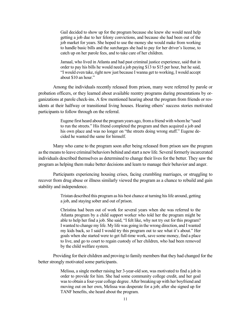Gail decided to show up for the program because she knew she would need help getting a job due to her felony convictions, and because she had been out of the job market for years. She hoped to use the money she would make from working to handle basic bills and the surcharges she had to pay for her driver's license, to catch up on her parole fees, and to take care of her children.

Jamaal, who lived in Atlanta and had past criminal justice experience, said that in order to pay his bills he would need a job paying \$13 to \$15 per hour, but he said, "I would even take, right now just because I wanna get to working, I would accept about \$10 an hour."

Among the individuals recently released from prison, many were referred by parole or probation officers, or they learned about available reentry programs during presentations by organizations at parole check-ins. A few mentioned hearing about the program from friends or residents at their halfway or transitional living houses. Hearing others' success stories motivated participants to follow through on the referral.

> Eugene first heard about the program years ago, from a friend with whom he "used to run the streets." His friend completed the program and then acquired a job and his own place and was no longer on "the streets doing wrong stuff." Eugene decided he wanted the same for himself.

Many who came to the program soon after being released from prison saw the program as the means to leave criminal behaviors behind and start a new life. Several formerly incarcerated individuals described themselves as determined to change their lives for the better. They saw the program as helping them make better decisions and learn to manage their behavior and anger.

Participants experiencing housing crises, facing crumbling marriages, or struggling to recover from drug abuse or illness similarly viewed the program as a chance to rebuild and gain stability and independence.

> Tristan described this program as his best chance at turning his life around, getting a job, and staying sober and out of prison.

> Christina had been out of work for several years when she was referred to the Atlanta program by a child support worker who told her the program might be able to help her find a job. She said, "I felt like, why not try out for this program? I wanted to change my life. My life was going in the wrong direction, and I wanted my kids back, so I said I would try this program out to see what it's about." Her goals when she started were to get full-time work, save some money, find a place to live, and go to court to regain custody of her children, who had been removed by the child welfare system.

Providing for their children and proving to family members that they had changed for the better strongly motivated some participants.

> Melissa, a single mother raising her 3-year-old son, was motivated to find a job in order to provide for him. She had some community college credit, and her goal was to obtain a four-year college degree. After breaking up with her boyfriend and moving out on her own, Melissa was desperate for a job; after she signed up for TANF benefits, she heard about the program.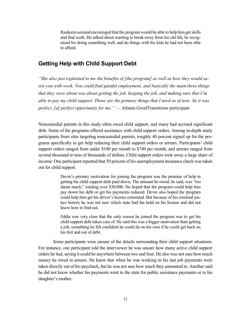Rasheem seemed encouraged that the program would be able to help him get skills and find work. He talked about wanting to break away from his old life, be recognized for doing something well, and do things with his kids he had not been able to afford.

#### **Getting Help with Child Support Debt**

*"She also just explained to me the benefits of [the program] as well as how they would assist you with work. You could find gainful employment, and basically the main three things that they were about was about getting the job, keeping the job, and making sure that I'm able to pay my child support. Those are the primary things that I need as of now. So it was perfect, [a] perfect opportunity for me.*" — Atlanta GoodTransitions participant

Noncustodial parents in this study often owed child support, and many had accrued significant debt. Some of the programs offered assistance with child support orders. Among in-depth study participants from sites targeting noncustodial parents, roughly 40 percent signed up for the programs specifically to get help reducing their child support orders or arrears. Participants' child support orders ranged from under \$100 per month to \$740 per month, and arrears ranged from several thousand to tens of thousands of dollars. Child support orders took away a large share of income: One participant reported that 50 percent of his unemployment insurance check was taken out for child support.

> Devin's primary motivation for joining the program was the promise of help in getting his child support debt paid down. The amount he owed, he said, was "too damn much," totaling over \$30,000. He hoped that the program could help him pay down his debt or get his payments reduced. Devin also hoped the program could help him get his driver's license reinstated. But because of his criminal justice history he was not sure which state had the hold on his license and did not know how to find out.

> Eddie was very clear that the only reason he joined the program was to get his child support debt taken care of. He said this was a bigger motivation than getting a job, something he felt confident he could do on his own if he could get back on his feet and out of debt.

Some participants were unsure of the details surrounding their child support situations. For instance, one participant told the interviewer he was unsure how many active child support orders he had, saying it could be anywhere between two and four. He also was not sure how much money he owed in arrears. He knew that when he was working in his last job payments were taken directly out of his paycheck, but he was not sure how much they amounted to. Another said he did not know whether his payments went to the state for public assistance payments or to his daughter's mother.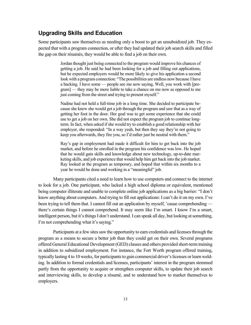### **Upgrading Skills and Education**

Some participants saw themselves as needing only a boost to get an unsubsidized job. They expected that with a program connection, or after they had updated their job search skills and filled the gap on their résumés, they would be able to find a job on their own.

> Jordan thought just being connected to the program would improve his chances of getting a job. He said he had been looking for a job and filling out applications, but he expected employers would be more likely to give his application a second look with a program connection: "The possibilities are endless now because I have a backing. I have some — people see me now saying, Well, you work with [program] — they may be more liable to take a chance on me now as opposed to me just coming from the street and trying to present myself."

> Nadine had not held a full-time job in a long time. She decided to participate because she knew she would get a job through the program and saw that as a way of getting her foot in the door. Her goal was to get some experience that she could use to get a job on her own. She did not expect the program job to continue longterm. In fact, when asked if she would try to establish a good relationship with her employer, she responded: "In a way yeah, but then they say they're not going to keep you afterwards, they fire you, so I'd rather just be neutral with them."

> Ray's gap in employment had made it difficult for him to get back into the job market, and before he enrolled in the program his confidence was low. He hoped that he would gain skills and knowledge about new technology, up-to-date marketing skills, and job experience that would help him get back into the job market. Ray looked at the program as temporary, and hoped that within six months to a year he would be done and working in a "meaningful" job.

Many participants cited a need to learn how to use computers and connect to the internet to look for a job. One participant, who lacked a high school diploma or equivalent, mentioned being computer illiterate and unable to complete online job applications as a big barrier: "I don't know anything about computers. And trying to fill out applications: I can't do it on my own. I've been trying to tell them that. I cannot fill out an application by myself, 'cause comprehending there's certain things I cannot comprehend. It may seem like I'm smart. I know I'm a smart, intelligent person, but it's things I don't understand. I can speak all day, but looking at something, I'm not comprehending what it's saying."

Participants at a few sites saw the opportunity to earn credentials and licenses through the program as a means to secure a better job than they could get on their own. Several programs offered General Educational Development (GED) classes and others provided short-term training in addition to subsidized employment. For instance, the Fort Worth program offered training, typically lasting 4 to 10 weeks, for participants to gain commercial driver's licenses or learn welding. In addition to formal credentials and licenses, participants' interest in the program stemmed partly from the opportunity to acquire or strengthen computer skills, to update their job search and interviewing skills, to develop a résumé, and to understand how to market themselves to employers.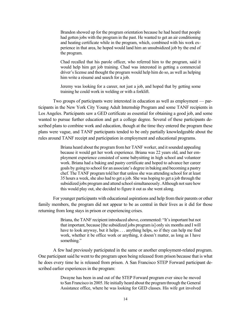Brandon showed up for the program orientation because he had heard that people had gotten jobs with the program in the past. He wanted to get an air conditioning and heating certificate while in the program, which, combined with his work experience in that area, he hoped would land him an unsubsidized job by the end of the program.

Chad recalled that his parole officer, who referred him to the program, said it would help him get job training. Chad was interested in getting a commercial driver's license and thought the program would help him do so, as well as helping him write a résumé and search for a job.

Jeremy was looking for a career, not just a job, and hoped that by getting some training he could work in welding or with a forklift.

Two groups of participants were interested in education as well as employment — participants in the New York City Young Adult Internship Program and some TANF recipients in Los Angeles. Participants saw a GED certificate as essential for obtaining a good job, and some wanted to pursue further education and get a college degree. Several of these participants described plans to combine work and education, though at the time they entered the program these plans were vague, and TANF participants tended to be only partially knowledgeable about the rules around TANF receipt and participation in employment and educational programs.

> Briana heard about the program from her TANF worker, and it sounded appealing because it would get her work experience. Briana was 22 years old, and her employment experience consisted of some babysitting in high school and volunteer work. Briana had a baking and pastry certificate and hoped to advance her career goals by going to school for an associate's degree in baking and becoming a pastry chef. The TANF program told her that unless she was attending school for at least 35 hours a week, she also had to get a job. She was hoping to get a job through the subsidized jobs program and attend school simultaneously. Although not sure how this would play out, she decided to figure it out as she went along.

For younger participants with educational aspirations and help from their parents or other family members, the program did not appear to be as central in their lives as it did for those returning from long stays in prison or experiencing crises.

> Briana, the TANF recipient introduced above, commented: "It's important but not that important, because [the subsidized jobs program is] only six months and I will have to look anyway, but it helps . . . anything helps, so if they can help me find work, whether it be office work or anything, it doesn't matter, as long as I have something."

A few had previously participated in the same or another employment-related program. One participant said he went to the program upon being released from prison because that is what he does every time he is released from prison. A San Francisco STEP Forward participant described earlier experiences in the program:

> Dwayne has been in and out of the STEP Forward program ever since he moved to San Francisco in 2005. He initially heard about the program through the General Assistance office, where he was looking for GED classes. His wife got involved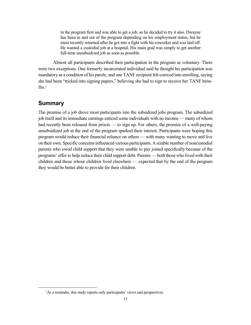in the program first and was able to get a job, so he decided to try it also. Dwayne has been in and out of the program depending on his employment status, but he most recently returned after he got into a fight with his coworker and was laid off. He wanted a custodial job at a hospital. His main goal was simply to get another full-time unsubsidized job as soon as possible.

Almost all participants described their participation in the program as voluntary. There were two exceptions. One formerly incarcerated individual said he thought his participation was mandatory as a condition of his parole, and one TANF recipient felt coerced into enrolling, saying she had been "tricked into signing papers," believing she had to sign to receive her TANF bene-fits.<sup>[2](#page-24-0)</sup>

#### **Summary**

The promise of a job drove most participants into the subsidized jobs program. The subsidized job itself and its immediate earnings enticed some individuals with no income — many of whom had recently been released from prison — to sign up. For others, the promise of a well-paying unsubsidized job at the end of the program sparked their interest. Participants were hoping this program would reduce their financial reliance on others — with many wanting to move and live on their own. Specific concerns influenced various participants. A sizable number of noncustodial parents who owed child support that they were unable to pay joined specifically because of the programs' offer to help reduce their child support debt. Parents — both those who lived with their children and those whose children lived elsewhere — expected that by the end of the program they would be better able to provide for their children.

<span id="page-24-0"></span> $\overline{a}$ <sup>2</sup>As a reminder, this study reports only participants' views and perspectives.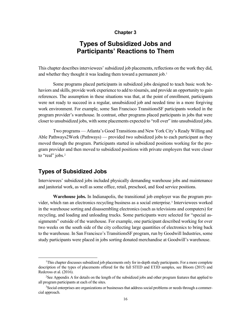#### **Chapter 3**

# **Types of Subsidized Jobs and Participants' Reactions to Them**

This chapter describes interviewees' subsidized job placements, reflections on the work they did, and whether they thought it was leading them toward a permanent job.<sup>[1](#page-25-0)</sup>

Some programs placed participants in subsidized jobs designed to teach basic work behaviors and skills, provide work experience to add to résumés, and provide an opportunity to gain references. The assumption in these situations was that, at the point of enrollment, participants were not ready to succeed in a regular, unsubsidized job and needed time in a more forgiving work environment. For example, some San Francisco TransitionsSF participants worked in the program provider's warehouse. In contrast, other programs placed participants in jobs that were closer to unsubsidized jobs, with some placements expected to "roll over" into unsubsidized jobs.

Two programs — Atlanta's Good Transitions and New York City's Ready Willing and Able Pathways2Work (Pathways) — provided two subsidized jobs to each participant as they moved through the program. Participants started in subsidized positions working for the program provider and then moved to subsidized positions with private employers that were closer to "real" jobs.<sup>[2](#page-25-1)</sup>

#### **Types of Subsidized Jobs**

Interviewees' subsidized jobs included physically demanding warehouse jobs and maintenance and janitorial work, as well as some office, retail, preschool, and food service positions.

**Warehouse jobs.** In Indianapolis, the transitional job employer was the program pro-vider, which ran an electronics recycling business as a social enterprise.<sup>[3](#page-25-2)</sup> Interviewees worked in the warehouse sorting and disassembling electronics (such as televisions and computers) for recycling, and loading and unloading trucks. Some participants were selected for "special assignments" outside of the warehouse. For example, one participant described working for over two weeks on the south side of the city collecting large quantities of electronics to bring back to the warehouse. In San Francisco's TransitionsSF program, run by Goodwill Industries, some study participants were placed in jobs sorting donated merchandise at Goodwill's warehouse.

<span id="page-25-0"></span> <sup>1</sup> <sup>1</sup>This chapter discusses subsidized job placements only for in-depth study participants. For a more complete description of the types of placements offered for the full STED and ETJD samples, see Bloom (2015) and Redcross et al. (2016).

<span id="page-25-1"></span><sup>&</sup>lt;sup>2</sup>See Appendix A for details on the length of the subsidized jobs and other program features that applied to all program participants at each of the sites.

<span id="page-25-2"></span><sup>&</sup>lt;sup>3</sup>Social enterprises are organizations or businesses that address social problems or needs through a commercial approach.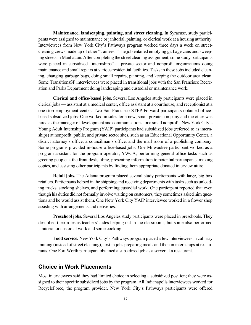**Maintenance, landscaping, painting, and street cleaning.** In Syracuse, study participants were assigned to maintenance or janitorial, painting, or clerical work at a housing authority. Interviewees from New York City's Pathways program worked three days a week on streetcleaning crews made up of other "trainees." The job entailed emptying garbage cans and sweeping streets in Manhattan. After completing the street cleaning assignment, some study participants were placed in subsidized "internships" at private sector and nonprofit organizations doing maintenance and small repairs at various residential facilities. Tasks in these jobs included cleaning, changing garbage bags, doing small repairs, painting, and keeping the outdoor area clean. Some TransitionsSF interviewees were placed in transitional jobs with the San Francisco Recreation and Parks Department doing landscaping and custodial or maintenance work.

**Clerical and office-based jobs.** Several Los Angeles study participants were placed in clerical jobs — assistant at a medical center, office assistant at a courthouse, and receptionist at a one-stop employment center. Two San Francisco STEP Forward participants obtained officebased subsidized jobs: One worked in sales for a new, small private company and the other was hired as the manager of development and communications for a small nonprofit. New York City's Young Adult Internship Program (YAIP) participants had subsidized jobs (referred to as internships) at nonprofit, public, and private sector sites, such as an Educational Opportunity Center, a district attorney's office, a councilman's office, and the mail room of a publishing company. Some programs provided in-house office-based jobs. One Milwaukee participant worked as a program assistant for the program operator, YWCA, performing general office tasks such as greeting people at the front desk, filing, presenting information to potential participants, making copies, and assisting other participants by finding them appropriate donated interview attire.

**Retail jobs.** The Atlanta program placed several study participants with large, big-box retailers. Participants helped in the shipping and receiving departments with tasks such as unloading trucks, stocking shelves, and performing custodial work. One participant reported that even though his duties did not formally involve waiting on customers, they sometimes asked him questions and he would assist them. One New York City YAIP interviewee worked in a flower shop assisting with arrangements and deliveries.

**Preschool jobs.** Several Los Angeles study participants were placed in preschools. They described their roles as teachers' aides helping out in the classrooms, but some also performed janitorial or custodial work and some cooking.

**Food service.** New York City's Pathways program placed a few interviewees in culinary training (instead of street cleaning), first in jobs preparing meals and then in internships at restaurants. One Fort Worth participant obtained a subsidized job as a server at a restaurant.

#### **Choice in Work Placements**

Most interviewees said they had limited choice in selecting a subsidized position; they were assigned to their specific subsidized jobs by the program. All Indianapolis interviewees worked for RecycleForce, the program provider. New York City's Pathways participants were offered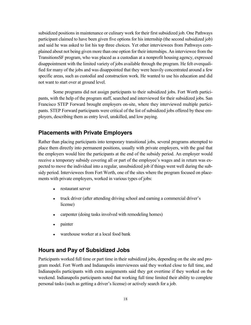subsidized positions in maintenance or culinary work for their first subsidized job. One Pathways participant claimed to have been given five options for his internship (the second subsidized job) and said he was asked to list his top three choices. Yet other interviewees from Pathways complained about not being given more than one option for their internships. An interviewee from the TransitionsSF program, who was placed as a custodian at a nonprofit housing agency, expressed disappointment with the limited variety of jobs available through the program. He felt overqualified for many of the jobs and was disappointed that they were heavily concentrated around a few specific areas, such as custodial and construction work. He wanted to use his education and did not want to start over at ground level.

Some programs did not assign participants to their subsidized jobs. Fort Worth participants, with the help of the program staff, searched and interviewed for their subsidized jobs. San Francisco STEP Forward brought employers on-site, where they interviewed multiple participants. STEP Forward participants were critical of the list of subsidized jobs offered by these employers, describing them as entry level, unskilled, and low paying.

#### **Placements with Private Employers**

Rather than placing participants into temporary transitional jobs, several programs attempted to place them directly into permanent positions, usually with private employers, with the goal that the employers would hire the participants at the end of the subsidy period. An employer would receive a temporary subsidy covering all or part of the employee's wages and in return was expected to move the individual into a regular, unsubsidized job if things went well during the subsidy period. Interviewees from Fort Worth, one of the sites where the program focused on placements with private employers, worked in various types of jobs:

- restaurant server
- truck driver (after attending driving school and earning a commercial driver's license)
- carpenter (doing tasks involved with remodeling homes)
- painter
- warehouse worker at a local food bank

### **Hours and Pay of Subsidized Jobs**

Participants worked full time or part time in their subsidized jobs, depending on the site and program model. Fort Worth and Indianapolis interviewees said they worked close to full time, and Indianapolis participants with extra assignments said they got overtime if they worked on the weekend. Indianapolis participants noted that working full time limited their ability to complete personal tasks (such as getting a driver's license) or actively search for a job.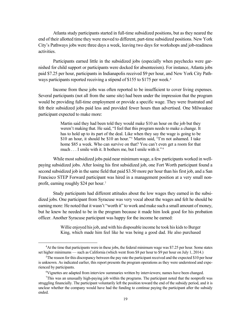Atlanta study participants started in full-time subsidized positions, but as they neared the end of their allotted time they were moved to different, part-time subsidized positions. New York City's Pathways jobs were three days a week, leaving two days for workshops and job-readiness activities.

Participants earned little in the subsidized jobs (especially when paychecks were garnished for child support or participants were docked for absenteeism). For instance, Atlanta jobs paid \$7.25 per hour, participants in Indianapolis received \$9 per hour, and New York City Path-ways participants reported receiving a stipend of \$155 to \$175 per week.<sup>[4](#page-28-0)</sup>

Income from these jobs was often reported to be insufficient to cover living expenses. Several participants (not all from the same site) had been under the impression that the program would be providing full-time employment or provide a specific wage. They were frustrated and felt their subsidized jobs paid less and provided fewer hours than advertised. One Milwaukee participant expected to make more:

> Martin said they had been told they would make \$10 an hour on the job but they weren't making that. He said, "I feel that this program needs to make a change. It has to hold up to its part of the deal. Like when they say the wage is going to be \$10 an hour, it should be \$10 an hour."[5](#page-28-1) Martin said, "I'm not ashamed. I take home \$85 a week. Who can survive on that? You can't even get a room for that much . . . I smile with it. It bothers me, but I smile with it." [6](#page-28-2)

While most subsidized jobs paid near minimum wage, a few participants worked in wellpaying subsidized jobs. After losing his first subsidized job, one Fort Worth participant found a second subsidized job in the same field that paid \$3.50 more per hour than his first job, and a San Francisco STEP Forward participant was hired in a management position at a very small nonprofit, earning roughly \$24 per hour.[7](#page-28-3)

Study participants had different attitudes about the low wages they earned in the subsidized jobs. One participant from Syracuse was very vocal about the wages and felt he should be earning more: He noted that it wasn't "worth it" to work and make such a small amount of money, but he knew he needed to be in the program because it made him look good for his probation officer. Another Syracuse participant was happy for the income he earned:

> Willie enjoyed his job, and with his disposable income he took his kids to Burger King, which made him feel like he was being a good dad. He also purchased

<span id="page-28-0"></span> $\overline{a}$ <sup>4</sup>At the time that participants were in these jobs, the federal minimum wage was \$7.25 per hour. Some states set higher minimums — such as California (which went from \$8 per hour to \$9 per hour on July 1, 2014.)

<span id="page-28-1"></span><sup>&</sup>lt;sup>5</sup>The reason for this discrepancy between the pay rate the participant received and the expected \$10 per hour is unknown. As indicated earlier, this report presents the program operations as they were understood and experienced by participants.

<sup>&</sup>lt;sup>6</sup>Vignettes are adapted from interview summaries written by interviewers; names have been changed.

<span id="page-28-3"></span><span id="page-28-2"></span><sup>7</sup> This was an unusually high-paying job within the programs. The participant noted that the nonprofit was struggling financially. The participant voluntarily left the position toward the end of the subsidy period, and it is unclear whether the company would have had the funding to continue paying the participant after the subsidy ended.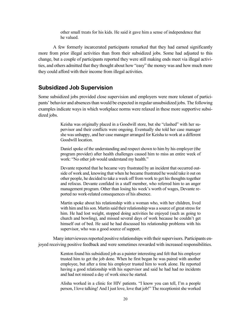other small treats for his kids. He said it gave him a sense of independence that he valued.

A few formerly incarcerated participants remarked that they had earned significantly more from prior illegal activities than from their subsidized jobs. Some had adjusted to this change, but a couple of participants reported they were still making ends meet via illegal activities, and others admitted that they thought about how "easy" the money was and how much more they could afford with their income from illegal activities.

#### **Subsidized Job Supervision**

Some subsidized jobs provided close supervision and employers were more tolerant of participants' behavior and absences than would be expected in regular unsubsidized jobs. The following examples indicate ways in which workplace norms were relaxed in these more supportive subsidized jobs.

> Keisha was originally placed in a Goodwill store, but she "clashed" with her supervisor and their conflicts were ongoing. Eventually she told her case manager she was unhappy, and her case manager arranged for Keisha to work at a different Goodwill location.

> Daniel spoke of the understanding and respect shown to him by his employer (the program provider) after health challenges caused him to miss an entire week of work: "No other job would understand my health."

> Devante reported that he became very frustrated by an incident that occurred outside of work and, knowing that when he became frustrated he would take it out on other people, he decided to take a week off from work to get his thoughts together and refocus. Devante confided in a staff member, who referred him to an anger management program. Other than losing his week's worth of wages, Devante reported no work-related consequences of his absence.

> Martin spoke about his relationship with a woman who, with her children, lived with him and his son. Martin said their relationship was a source of great stress for him. He had lost weight, stopped doing activities he enjoyed (such as going to church and bowling), and missed several days of work because he couldn't get himself out of bed. He said he had discussed his relationship problems with his supervisor, who was a good source of support.

Many interviewees reported positive relationships with their supervisors. Participants enjoyed receiving positive feedback and were sometimes rewarded with increased responsibilities.

> Kenton found his subsidized job as a painter interesting and felt that his employer trusted him to get the job done. When he first began he was paired with another employee, but after a time his employer trusted him to work alone. He reported having a good relationship with his supervisor and said he had had no incidents and had not missed a day of work since he started.

> Alisha worked in a clinic for HIV patients. "I know you can tell, I'm a people person, I love talking! And I just love, love that job!" The receptionist she worked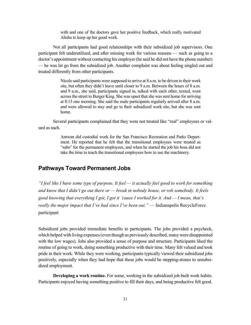with and one of the doctors gave her positive feedback, which really motivated Alisha to keep up her good work.

Not all participants had good relationships with their subsidized job supervisors. One participant felt underutilized, and after missing work for various reasons — such as going to a doctor's appointment without contacting his employer (he said he did not have the phone number) — he was let go from the subsidized job. Another complaint was about feeling singled out and treated differently from other participants.

> Nicole said participants were supposed to arrive at 8 a.m. to be driven to their work site, but often they didn't leave until closer to 9 a.m. Between the hours of 8 a.m. and 9 a.m., she said, participants signed in, talked with each other, texted, went across the street to Burger King. She was upset that she was sent home for arriving at 8:15 one morning. She said the male participants regularly arrived after 8 a.m. and were allowed to stay and go to their subsidized work site, but she was sent home.

Several participants complained that they were not treated like "real" employees or valued as such.

> Antwan did custodial work for the San Francisco Recreation and Parks Department. He reported that he felt that the transitional employees were treated as "subs" for the permanent employees, and when he started the job his boss did not take the time to teach the transitional employees how to use the machinery.

### **Pathways Toward Permanent Jobs**

*"I feel like I have some type of purpose. It feel — it actually feel good to work for something and know that I didn't go out there or — break in nobody house, or rob somebody. It feels good knowing that everything I got, I got it 'cause I worked for it. And — I mean, that's really the major impact that I've had since I've been out."* — Indianapolis RecycleForce participant

Subsidized jobs provided immediate benefits to participants. The jobs provided a paycheck, which helped with living expenses (even though as previously described, many were disappointed with the low wages). Jobs also provided a sense of purpose and structure. Participants liked the routine of going to work, doing something productive with their time. Many felt valued and took pride in their work. While they were working, participants typically viewed their subsidized jobs positively, especially when they had hope that these jobs would be stepping-stones to unsubsidized employment.

**Developing a work routine.** For some, working in the subsidized job built work habits. Participants enjoyed having something positive to fill their days, and being productive felt good.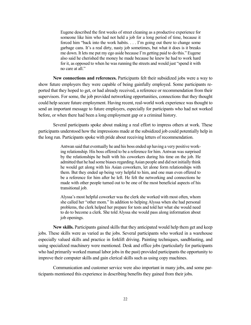Eugene described the first weeks of street cleaning as a productive experience for someone like him who had not held a job for a long period of time, because it forced him "back into the work habits. . . . I'm going out there to change some garbage cans. It's a real dirty, nasty job sometimes, but what it does is it breaks me down. It lets me put my ego aside because I'm getting paid to do this." Eugene also said he cherished the money he made because he knew he had to work hard for it, as opposed to when he was running the streets and would just "spend it with no care at all."

**New connections and references.** Participants felt their subsidized jobs were a way to show future employers they were capable of being gainfully employed. Some participants reported that they hoped to get, or had already received, a reference or recommendation from their supervisors. For some, the job provided networking opportunities, connections that they thought could help secure future employment. Having recent, real-world work experience was thought to send an important message to future employers, especially for participants who had not worked before, or when there had been a long employment gap or a criminal history.

Several participants spoke about making a real effort to impress others at work. These participants understood how the impressions made at the subsidized job could potentially help in the long run. Participants spoke with pride about receiving letters of recommendation.

> Antwan said that eventually he and his boss ended up having a very positive working relationship. His boss offered to be a reference for him. Antwan was surprised by the relationships he built with his coworkers during his time on the job. He admitted that he had some biases regarding Asian people and did not initially think he would get along with his Asian coworkers, let alone form relationships with them. But they ended up being very helpful to him, and one man even offered to be a reference for him after he left. He felt the networking and connections he made with other people turned out to be one of the most beneficial aspects of his transitional job.

> Alyssa's most helpful coworker was the clerk she worked with most often, whom she called her "other mom." In addition to helping Alyssa when she had personal problems, the clerk helped her prepare for tests and told her what she would need to do to become a clerk. She told Alyssa she would pass along information about job openings.

**New skills.** Participants gained skills that they anticipated would help them get and keep jobs. These skills were as varied as the jobs. Several participants who worked in a warehouse especially valued skills and practice in forklift driving. Painting techniques, sandblasting, and using specialized machinery were mentioned. Desk and office jobs (particularly for participants who had primarily worked manual labor jobs in the past) provided participants the opportunity to improve their computer skills and gain clerical skills such as using copy machines.

Communication and customer service were also important in many jobs, and some participants mentioned this experience in describing benefits they gained from their jobs.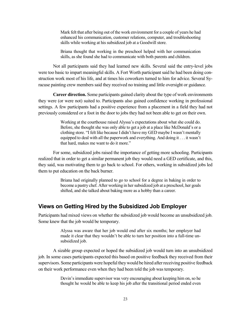Mark felt that after being out of the work environment for a couple of years he had enhanced his communication, customer relations, computer, and troubleshooting skills while working at his subsidized job at a Goodwill store.

Briana thought that working in the preschool helped with her communication skills, as she found she had to communicate with both parents and children.

Not all participants said they had learned new skills. Several said the entry-level jobs were too basic to impart meaningful skills. A Fort Worth participant said he had been doing construction work most of his life, and at times his coworkers turned to him for advice. Several Syracuse painting crew members said they received no training and little oversight or guidance.

**Career direction.** Some participants gained clarity about the type of work environments they were (or were not) suited to. Participants also gained confidence working in professional settings. A few participants had a positive experience from a placement in a field they had not previously considered or a foot in the door to jobs they had not been able to get on their own.

> Working at the courthouse raised Alyssa's expectations about what she could do. Before, she thought she was only able to get a job at a place like McDonald's or a clothing store. "I felt like because I didn't have my GED maybe I wasn't mentally equipped to deal with all the paperwork and everything. And doing it . . . it wasn't that hard, makes me want to do it more."

For some, subsidized jobs raised the importance of getting more schooling. Participants realized that in order to get a similar permanent job they would need a GED certificate, and this, they said, was motivating them to go back to school. For others, working in subsidized jobs led them to put education on the back burner.

> Briana had originally planned to go to school for a degree in baking in order to become a pastry chef. After working in her subsidized job at a preschool, her goals shifted, and she talked about baking more as a hobby than a career.

#### **Views on Getting Hired by the Subsidized Job Employer**

Participants had mixed views on whether the subsidized job would become an unsubsidized job. Some knew that the job would be temporary.

> Alyssa was aware that her job would end after six months; her employer had made it clear that they wouldn't be able to turn her position into a full-time unsubsidized job.

A sizable group expected or hoped the subsidized job would turn into an unsubsidized job. In some cases participants expected this based on positive feedback they received from their supervisors. Some participants were hopeful they would be hired after receiving positive feedback on their work performance even when they had been told the job was temporary.

> Devin's immediate supervisor was very encouraging about keeping him on, so he thought he would be able to keep his job after the transitional period ended even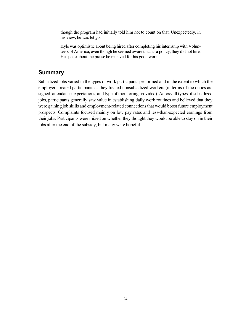though the program had initially told him not to count on that. Unexpectedly, in his view, he was let go.

Kyle was optimistic about being hired after completing his internship with Volunteers of America, even though he seemed aware that, as a policy, they did not hire. He spoke about the praise he received for his good work.

### **Summary**

Subsidized jobs varied in the types of work participants performed and in the extent to which the employers treated participants as they treated nonsubsidized workers (in terms of the duties assigned, attendance expectations, and type of monitoring provided). Across all types of subsidized jobs, participants generally saw value in establishing daily work routines and believed that they were gaining job skills and employment-related connections that would boost future employment prospects. Complaints focused mainly on low pay rates and less-than-expected earnings from their jobs. Participants were mixed on whether they thought they would be able to stay on in their jobs after the end of the subsidy, but many were hopeful.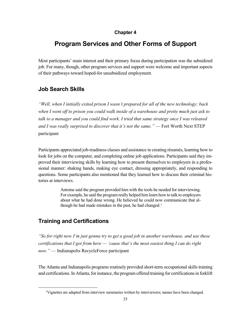#### **Chapter 4**

# **Program Services and Other Forms of Support**

Most participants' main interest and their primary focus during participation was the subsidized job. For many, though, other program services and support were welcome and important aspects of their pathways toward hoped-for unsubsidized employment.

### **Job Search Skills**

*"Well, when I initially exited prison I wasn't prepared for all of the new technology; back when I went off to prison you could walk inside of a warehouse and pretty much just ask to talk to a manager and you could find work. I tried that same strategy once I was released and I was really surprised to discover that it's not the same."* — Fort Worth Next STEP participant

Participants appreciated job-readiness classes and assistance in creating résumés, learning how to look for jobs on the computer, and completing online job applications. Participants said they improved their interviewing skills by learning how to present themselves to employers in a professional manner: shaking hands, making eye contact, dressing appropriately, and responding to questions. Some participants also mentioned that they learned how to discuss their criminal histories at interviews.

> Antoine said the program provided him with the tools he needed for interviewing. For example, he said the program really helped him learn how to talk to employers about what he had done wrong. He believed he could now communicate that al-though he had made mistakes in the past, he had changed.<sup>[1](#page-34-0)</sup>

### **Training and Certifications**

*"So for right now I'm just gonna try to get a good job in another warehouse, and use these certifications that I got from here — 'cause that's the most easiest thing I can do right now."* — Indianapolis RecycleForce participant

The Atlanta and Indianapolis programs routinely provided short-term occupational skills training and certifications. In Atlanta, for instance, the program offered training for certificationsin forklift

<span id="page-34-0"></span> <sup>1</sup> Vignettes are adapted from interview summaries written by interviewers; names have been changed.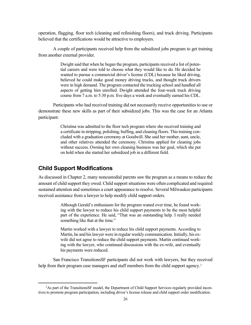operation, flagging, floor tech (cleaning and refinishing floors), and truck driving. Participants believed that the certifications would be attractive to employers.

A couple of participants received help from the subsidized jobs program to get training from another external provider.

> Dwight said that when he began the program, participants received a list of potential careers and were told to choose what they would like to do. He decided he wanted to pursue a commercial driver's license (CDL) because he liked driving, believed he could make good money driving trucks, and thought truck drivers were in high demand. The program contacted the trucking school and handled all aspects of getting him enrolled. Dwight attended the four-week truck driving course from 7 a.m. to 5:30 p.m. five days a week and eventually earned his CDL.

Participants who had received training did not necessarily receive opportunities to use or demonstrate these new skills as part of their subsidized jobs. This was the case for an Atlanta participant:

> Christina was admitted to the floor tech program where she received training and a certificate in stripping, polishing, buffing, and cleaning floors. This training concluded with a graduation ceremony at Goodwill. She said her mother, aunt, uncle, and other relatives attended the ceremony. Christina applied for cleaning jobs without success. Owning her own cleaning business was her goal, which she put on hold when she started her subsidized job in a different field.

### **Child Support Modifications**

As discussed in Chapter 2, many noncustodial parents saw the program as a means to reduce the amount of child support they owed. Child support situations were often complicated and required sustained attention and sometimes a court appearance to resolve. Several Milwaukee participants received assistance from a lawyer to help modify child support orders.

> Although Gerald's enthusiasm for the program waned over time, he found working with the lawyer to reduce his child support payments to be the most helpful part of the experience. He said, "That was an outstanding help. I really needed something like that at the time."

> Martin worked with a lawyer to reduce his child support payments. According to Martin, he and his lawyer were in regular weekly communication. Initially, his exwife did not agree to reduce the child support payments. Martin continued working with the lawyer, who continued discussions with the ex-wife, and eventually his payments were reduced.

San Francisco TransitionsSF participants did not work with lawyers, but they received help from their program case managers and staff members from the child support agency.<sup>[2](#page-35-0)</sup>

<span id="page-35-0"></span> <sup>2</sup> <sup>2</sup>As part of the TransitionsSF model, the Department of Child Support Services regularly provided incentives to promote program participation, including driver's license release and child support order modification.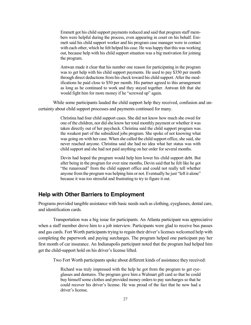Emmett got his child support payments reduced and said that program staff members were helpful during the process, even appearing in court on his behalf. Emmett said his child support worker and his program case manager were in contact with each other, which he felt helped his case. He was happy that this was working out, because help with his child support situation was a big motivation for joining the program.

Antwan made it clear that his number one reason for participating in the program was to get help with his child support payments. He used to pay \$350 per month through direct deductions from his check toward his child support. After the modifications he paid close to \$50 per month. His partner agreed to this arrangement as long as he continued to work and they stayed together. Antwan felt that she would fight him for more money if he "screwed up" again.

While some participants lauded the child support help they received, confusion and uncertainty about child support processes and payments continued for many.

> Christina had four child support cases. She did not know how much she owed for one of the children, nor did she know her total monthly payment or whether it was taken directly out of her paycheck. Christina said the child support program was the weakest part of the subsidized jobs program. She spoke of not knowing what was going on with her case. When she called the child support office, she said, she never reached anyone. Christina said she had no idea what her status was with child support and she had not paid anything on her order for several months.

> Devin had hoped the program would help him lower his child support debt. But after being in the program for over nine months, Devin said that he felt like he got "the runaround" from the child support office and could not really tell whether anyone from the program was helping him or not. Eventually he just "left it alone" because it was too stressful and frustrating to try to figure it out.

### **Help with Other Barriers to Employment**

Programs provided tangible assistance with basic needs such as clothing, eyeglasses, dental care, and identification cards.

Transportation was a big issue for participants. An Atlanta participant was appreciative when a staff member drove him to a job interview. Participants were glad to receive bus passes and gas cards. Fort Worth participants trying to regain their driver's licenses welcomed help with completing the paperwork and paying surcharges. The program helped one participant pay her first month of car insurance. An Indianapolis participant noted that the program had helped him get the child-support hold on his driver's license lifted.

Two Fort Worth participants spoke about different kinds of assistance they received:

Richard was truly impressed with the help he got from the program to get eyeglasses and dentures. The program gave him a Walmart gift card so that he could buy himself some clothes and provided money orders to pay surcharges so that he could recover his driver's license. He was proud of the fact that he now had a driver's license.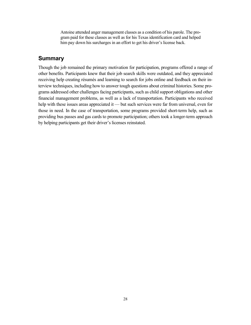Antoine attended anger management classes as a condition of his parole. The program paid for these classes as well as for his Texas identification card and helped him pay down his surcharges in an effort to get his driver's license back.

### **Summary**

Though the job remained the primary motivation for participation, programs offered a range of other benefits. Participants knew that their job search skills were outdated, and they appreciated receiving help creating résumés and learning to search for jobs online and feedback on their interview techniques, including how to answer tough questions about criminal histories. Some programs addressed other challenges facing participants, such as child support obligations and other financial management problems, as well as a lack of transportation. Participants who received help with these issues areas appreciated it — but such services were far from universal, even for those in need. In the case of transportation, some programs provided short-term help, such as providing bus passes and gas cards to promote participation; others took a longer-term approach by helping participants get their driver's licenses reinstated.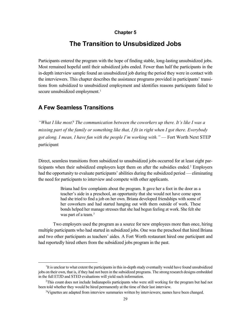#### **Chapter 5**

### **The Transition to Unsubsidized Jobs**

Participants entered the program with the hope of finding stable, long-lasting unsubsidized jobs. Most remained hopeful until their subsidized jobs ended. Fewer than half the participants in the in-depth interview sample found an unsubsidized job during the period they were in contact with the interviewers. This chapter describes the assistance programs provided in participants' transitions from subsidized to unsubsidized employment and identifies reasons participants failed to secure unsubsidized employment.<sup>1</sup>

### **A Few Seamless Transitions**

*"What I like most? The communication between the coworkers up there. It's like I was a missing part of the family or something like that, I fit in right when I got there. Everybody got along. I mean, I have fun with the people I'm working with."* — Fort Worth Next STEP participant

Direct, seamless transitions from subsidized to unsubsidized jobs occurred for at least eight par-ticipants when their subsidized employers kept them on after the subsidies ended.<sup>[2](#page-38-1)</sup> Employers had the opportunity to evaluate participants' abilities during the subsidized period — eliminating the need for participants to interview and compete with other applicants.

> Briana had few complaints about the program. It gave her a foot in the door as a teacher's aide in a preschool, an opportunity that she would not have come upon had she tried to find a job on her own. Briana developed friendships with some of her coworkers and had started hanging out with them outside of work. These bonds helped her manage stresses that she had begun feeling at work. She felt she was part of a team.<sup>[3](#page-38-2)</sup>

Two employers used the program as a source for new employees more than once, hiring multiple participants who had started in subsidized jobs. One was the preschool that hired Briana and two other participants as teachers' aides. A Fort Worth restaurant hired one participant and had reportedly hired others from the subsidized jobs program in the past.

<span id="page-38-0"></span> $\overline{\phantom{0}1}$  ${}^{1}$ It is unclear to what extent the participants in this in-depth study eventually would have found unsubsidized jobs on their own, that is, if they had not been in the subsidized programs. The strong research designs embedded in the full ETJD and STED evaluations will yield such information.

<span id="page-38-2"></span><span id="page-38-1"></span><sup>&</sup>lt;sup>2</sup>This count does not include Indianapolis participants who were still working for the program but had not been told whether they would be hired permanently at the time of their last interview.

<sup>&</sup>lt;sup>3</sup>Vignettes are adapted from interview summaries written by interviewers; names have been changed.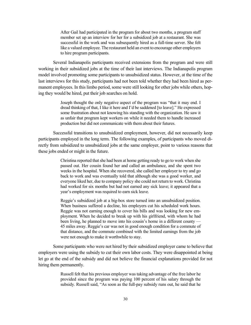After Gail had participated in the program for about two months, a program staff member set up an interview for her for a subsidized job at a restaurant. She was successful in the work and was subsequently hired as a full-time server. She felt like a valued employee. The restaurant held an event to encourage other employers to hire program participants.

Several Indianapolis participants received extensions from the program and were still working in their subsidized jobs at the time of their last interviews. The Indianapolis program model involved promoting some participants to unsubsidized status. However, at the time of the last interviews for this study, participants had not been told whether they had been hired as permanent employees. In this limbo period, some were still looking for other jobs while others, hoping they would be hired, put their job searches on hold.

> Joseph thought the only negative aspect of the program was "that it may end. I dread thinking of that, I like it here and I'd be saddened [to leave]." He expressed some frustration about not knowing his standing with the organization. He saw it as unfair that program kept workers on while it needed them to handle increased production but did not communicate with them about their futures.

Successful transitions to unsubsidized employment, however, did not necessarily keep participants employed in the long term. The following examples, of participants who moved directly from subsidized to unsubsidized jobs at the same employer, point to various reasons that these jobs ended or might in the future.

> Christina reported that she had been at home getting ready to go to work when she passed out. Her cousin found her and called an ambulance, and she spent two weeks in the hospital. When she recovered, she called her employer to try and go back to work and was eventually told that although she was a good worker, and everyone liked her, due to company policy she could not return to work. Christina had worked for six months but had not earned any sick leave; it appeared that a year's employment was required to earn sick leave.

> Reggie's subsidized job at a big-box store turned into an unsubsidized position. When business suffered a decline, his employers cut his scheduled work hours. Reggie was not earning enough to cover his bills and was looking for new employment. When he decided to break up with his girlfriend, with whom he had been living, he planned to move into his cousin's home in a different county — 45 miles away. Reggie's car was not in good enough condition for a commute of that distance, and the commute combined with the limited earnings from the job were not enough to make it worthwhile to stay.

Some participants who were not hired by their subsidized employer came to believe that employers were using the subsidy to cut their own labor costs. They were disappointed at being let go at the end of the subsidy and did not believe the financial explanations provided for not hiring them permanently.

> Russell felt that his previous employer was taking advantage of the free labor he provided since the program was paying 100 percent of his salary through the subsidy. Russell said, "As soon as the full-pay subsidy runs out, he said that he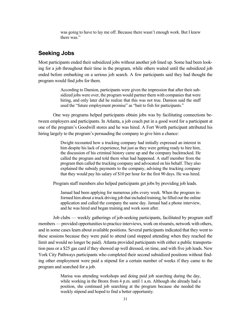was going to have to lay me off. Because there wasn't enough work. But I knew there was."

### **Seeking Jobs**

Most participants ended their subsidized jobs without another job lined up. Some had been looking for a job throughout their time in the program, while others waited until the subsidized job ended before embarking on a serious job search. A few participants said they had thought the program would find jobs for them.

> According to Damion, participants were given the impression that after their subsidized jobs were over, the program would partner them with companies that were hiring, and only later did he realize that this was not true. Damion said the staff used the "future employment promise" as "bait to fish for participants."

One way programs helped participants obtain jobs was by facilitating connections between employers and participants. In Atlanta, a job coach put in a good word for a participant at one of the program's Goodwill stores and he was hired. A Fort Worth participant attributed his hiring largely to the program's persuading the company to give him a chance:

> Dwight recounted how a trucking company had initially expressed an interest in him despite his lack of experience, but just as they were getting ready to hire him, the discussion of his criminal history came up and the company backtracked. He called the program and told them what had happened. A staff member from the program then called the trucking company and advocated on his behalf. They also explained the subsidy payments to the company, advising the trucking company that they would pay his salary of \$10 per hour for the first 90 days. He was hired.

Program staff members also helped participants get jobs by providing job leads.

Jamaal had been applying for numerous jobs every week. When the program informed him about a truck driving job that included training, he filled out the online application and called the company the same day. Jamaal had a phone interview, and he was hired and began training and work soon after.

Job clubs — weekly gatherings of job-seeking participants, facilitated by program staff members — provided opportunities to practice interviews, work on résumés, network with others, and in some cases learn about available positions. Several participants indicated that they went to these sessions because they were paid to attend (and stopped attending when they reached the limit and would no longer be paid). Atlanta provided participants with either a public transportation pass or a \$25 gas card if they showed up well dressed, on time, and with five job leads. New York City Pathways participants who completed their second subsidized positions without finding other employment were paid a stipend for a certain number of weeks if they came to the program and searched for a job.

> Marisa was attending workshops and doing paid job searching during the day, while working in the Bronx from 4 p.m. until 1 a.m. Although she already had a position, she continued job searching at the program because she needed the weekly stipend and hoped to find a better opportunity.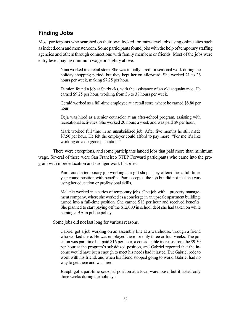### **Finding Jobs**

Most participants who searched on their own looked for entry-level jobs using online sites such asindeed.com and monster.com. Some participants found jobs with the help of temporary staffing agencies and others through connections with family members or friends. Most of the jobs were entry level, paying minimum wage or slightly above.

> Nina worked in a retail store. She was initially hired for seasonal work during the holiday shopping period, but they kept her on afterward. She worked 21 to 26 hours per week, making \$7.25 per hour.

> Damion found a job at Starbucks, with the assistance of an old acquaintance. He earned \$9.25 per hour, working from 36 to 38 hours per week.

> Gerald worked as a full-time employee at a retail store, where he earned \$8.80 per hour.

> Deja was hired as a senior counselor at an after-school program, assisting with recreational activities. She worked 20 hours a week and was paid \$9 per hour.

> Mark worked full time in an unsubsidized job. After five months he still made \$7.50 per hour. He felt the employer could afford to pay more: "For me it's like working on a doggone plantation."

There were exceptions, and some participants landed jobs that paid more than minimum wage. Several of these were San Francisco STEP Forward participants who came into the program with more education and stronger work histories.

> Pam found a temporary job working at a gift shop. They offered her a full-time, year-round position with benefits. Pam accepted the job but did not feel she was using her education or professional skills.

> Melanie worked in a series of temporary jobs. One job with a property management company, where she worked as a concierge in an upscale apartment building, turned into a full-time position. She earned \$18 per hour and received benefits. She planned to start paying off the \$12,000 in school debt she had taken on while earning a BA in public policy.

Some jobs did not last long for various reasons.

Gabriel got a job working on an assembly line at a warehouse, through a friend who worked there. He was employed there for only three or four weeks. The position was part time but paid \$16 per hour, a considerable increase from the \$9.50 per hour at the program's subsidized position, and Gabriel reported that the income would have been enough to meet his needs had it lasted. But Gabriel rode to work with his friend, and when his friend stopped going to work, Gabriel had no way to get there and was fired.

Joseph got a part-time seasonal position at a local warehouse, but it lasted only three weeks during the holidays.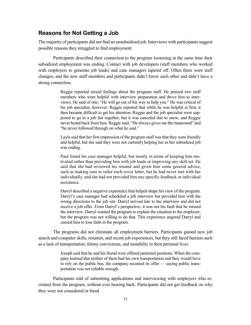### **Reasons for Not Getting a Job**

The majority of participants did not find an unsubsidized job. Interviews with participants suggest possible reasons they struggled to find employment.

Participants described their connection to the program loosening at the same time their subsidized employment was ending. Contact with job developers (staff members who worked with employers to generate job leads) and case managers tapered off. Often there were staff changes, and the new staff members and participants didn't know each other and didn't have a strong connection.

> Reggie reported mixed feelings about the program staff. He praised two staff members who were helpful with interview preparation and drove him to interviews. He said of one: "He will go out of his way to help you." He was critical of his job specialist, however: Reggie reported that while he was helpful at first, it then became difficult to get his attention. Reggie and the job specialist were supposed to go to a job fair together, but it was canceled due to snow, and Reggie never heard back from him. Reggie said, "He always gives me the runaround" and "he never followed through on what he said."

> Layla said that her first impression of the program staff was that they were friendly and helpful, but she said they were not currently helping her as her subsidized job was ending.

> Paul found his case manager helpful, but mostly in terms of keeping him motivated rather than providing him with job leads or improving any skill set. He said that she had reviewed his résumé and given him some general advice, such as making sure to tailor each cover letter, but he had never met with her individually, and she had not provided him any specific feedback or individual assistance.

> Darryl described a negative experience that helped shape his view of the program. Darryl's case manager had scheduled a job interview but provided him with the wrong directions to the job site. Darryl arrived late to the interview and did not receive a job offer. From Darryl's perspective, it was not his fault that he missed the interview. Darryl wanted the program to explain the situation to the employer, but the program was not willing to do that. This experience angered Darryl and caused him to lose faith in the program.

The programs did not eliminate all employment barriers. Participants gained new job search and computer skills, résumés, and recent job experiences, but they still faced barriers such as a lack of transportation, felony convictions, and instability in their personal lives.

> Joseph said that he and his friend were offered janitorial positions. When the company learned that neither of them had his own transportation and they would have to rely on the public bus, the company recanted its offer — saying public transportation was not reliable enough.

Participants told of submitting applications and interviewing with employers who recruited from the program, without ever hearing back. Participants did not get feedback on why they were not considered or hired.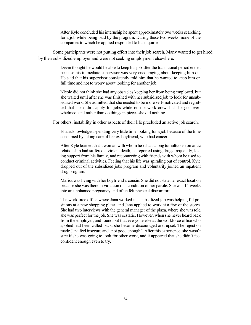After Kyle concluded his internship he spent approximately two weeks searching for a job while being paid by the program. During these two weeks, none of the companies to which he applied responded to his inquiries.

Some participants were not putting effort into their job search. Many wanted to get hired by their subsidized employer and were not seeking employment elsewhere.

> Devin thought he would be able to keep his job after the transitional period ended because his immediate supervisor was very encouraging about keeping him on. He said that his supervisor consistently told him that he wanted to keep him on full time and not to worry about looking for another job.

> Nicole did not think she had any obstacles keeping her from being employed, but she waited until after she was finished with her subsidized job to look for unsubsidized work. She admitted that she needed to be more self-motivated and regretted that she didn't apply for jobs while on the work crew, but she got overwhelmed, and rather than do things in pieces she did nothing.

For others, instability in other aspects of their life precluded an active job search.

Ella acknowledged spending very little time looking for a job because of the time consumed by taking care of her ex-boyfriend, who had cancer.

After Kyle learned that a woman with whom he'd had a long tumultuous romantic relationship had suffered a violent death, he reported using drugs frequently, losing support from his family, and reconnecting with friends with whom he used to conduct criminal activities. Feeling that his life was spiraling out of control, Kyle dropped out of the subsidized jobs program and voluntarily joined an inpatient drug program.

Marisa was living with her boyfriend's cousin. She did not state her exact location because she was there in violation of a condition of her parole. She was 14 weeks into an unplanned pregnancy and often felt physical discomfort.

The workforce office where Jana worked in a subsidized job was helping fill positions at a new shopping plaza, and Jana applied to work at a few of the stores. She had two interviews with the general manager of the plaza, where she was told she was perfect for the job. She was ecstatic. However, when she never heard back from the employer, and found out that everyone else at the workforce office who applied had been called back, she became discouraged and upset. The rejection made Jana feel insecure and "not good enough." After this experience, she wasn't sure if she was going to look for other work, and it appeared that she didn't feel confident enough even to try.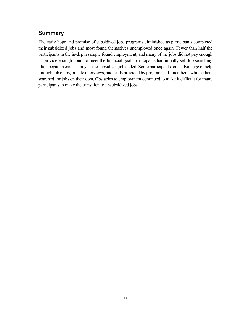# **Summary**

The early hope and promise of subsidized jobs programs diminished as participants completed their subsidized jobs and most found themselves unemployed once again. Fewer than half the participants in the in-depth sample found employment, and many of the jobs did not pay enough or provide enough hours to meet the financial goals participants had initially set. Job searching often began in earnest only as the subsidized job ended. Some participants took advantage of help through job clubs, on-site interviews, and leads provided by program staff members, while others searched for jobs on their own. Obstacles to employment continued to make it difficult for many participants to make the transition to unsubsidized jobs.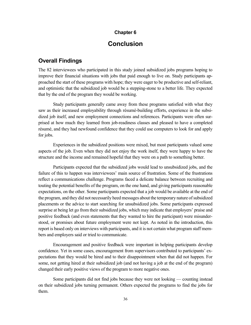#### **Chapter 6**

## **Conclusion**

#### **Overall Findings**

The 82 interviewees who participated in this study joined subsidized jobs programs hoping to improve their financial situations with jobs that paid enough to live on. Study participants approached the start of these programs with hope; they were eager to be productive and self-reliant, and optimistic that the subsidized job would be a stepping-stone to a better life. They expected that by the end of the program they would be working.

Study participants generally came away from these programs satisfied with what they saw as their increased employability through résumé-building efforts, experience in the subsidized job itself, and new employment connections and references. Participants were often surprised at how much they learned from job-readiness classes and pleased to have a completed résumé, and they had newfound confidence that they could use computers to look for and apply for jobs.

Experiences in the subsidized positions were mixed, but most participants valued some aspects of the job. Even when they did not enjoy the work itself, they were happy to have the structure and the income and remained hopeful that they were on a path to something better.

Participants expected that the subsidized jobs would lead to unsubsidized jobs, and the failure of this to happen was interviewees' main source of frustration. Some of the frustrations reflect a communications challenge. Programs faced a delicate balance between recruiting and touting the potential benefits of the program, on the one hand, and giving participants reasonable expectations, on the other. Some participants expected that a job would be available at the end of the program, and they did not necessarily heed messages about the temporary nature of subsidized placements or the advice to start searching for unsubsidized jobs. Some participants expressed surprise at being let go from their subsidized jobs, which may indicate that employers' praise and positive feedback (and even statements that they wanted to hire the participant) were misunderstood, or promises about future employment were not kept. As noted in the introduction, this report is based only on interviews with participants, and it is not certain what program staff members and employers said or tried to communicate.

Encouragement and positive feedback were important in helping participants develop confidence. Yet in some cases, encouragement from supervisors contributed to participants' expectations that they would be hired and to their disappointment when that did not happen. For some, not getting hired at their subsidized job (and not having a job at the end of the program) changed their early positive views of the program to more negative ones.

Some participants did not find jobs because they were not looking — counting instead on their subsidized jobs turning permanent. Others expected the programs to find the jobs for them.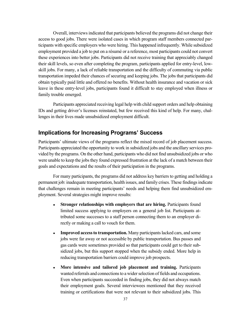Overall, interviews indicated that participants believed the programs did not change their access to good jobs. There were isolated cases in which program staff members connected participants with specific employers who were hiring. This happened infrequently. While subsidized employment provided a job to put on a résumé or a reference, most participants could not convert these experiences into better jobs. Participants did not receive training that appreciably changed their skill levels, so even after completing the program, participants applied for entry-level, lowskill jobs. For many, a lack of reliable transportation and the difficulty of commuting via public transportation impeded their chances of securing and keeping jobs. The jobs that participants did obtain typically paid little and offered no benefits. Without health insurance and vacation or sick leave in these entry-level jobs, participants found it difficult to stay employed when illness or family trouble emerged.

Participants appreciated receiving legal help with child support orders and help obtaining IDs and getting driver's licenses reinstated, but few received this kind of help. For many, challenges in their lives made unsubsidized employment difficult.

### **Implications for Increasing Programs' Success**

Participants' ultimate views of the programs reflect the mixed record of job placement success. Participants appreciated the opportunity to work in subsidized jobs and the ancillary services provided by the programs. On the other hand, participants who did not find unsubsidized jobs or who were unable to keep the jobs they found expressed frustration at the lack of a match between their goals and expectations and the results of their participation in the programs.

For many participants, the programs did not address key barriers to getting and holding a permanent job: inadequate transportation, health issues, and family crises. These findings indicate that challenges remain in meeting participants' needs and helping them find unsubsidized employment. Several strategies might improve results:

- **Stronger relationships with employers that are hiring.** Participants found limited success applying to employers on a general job list. Participants attributed some successes to a staff person connecting them to an employer directly or making a call to vouch for them.
- **Improved access to transportation.** Many participants lacked cars, and some jobs were far away or not accessible by public transportation. Bus passes and gas cards were sometimes provided so that participants could get to their subsidized jobs, but this support stopped when the subsidy ended. More help in reducing transportation barriers could improve job prospects.
- **More intensive and tailored job placement and training.** Participants wanted referrals and connections to a wider selection of fields and occupations. Even when participants succeeded in finding jobs, they did not always match their employment goals. Several interviewees mentioned that they received training or certifications that were not relevant to their subsidized jobs. This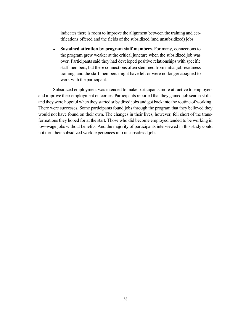indicates there is room to improve the alignment between the training and certifications offered and the fields of the subsidized (and unsubsidized) jobs.

**Sustained attention by program staff members.** For many, connections to the program grew weaker at the critical juncture when the subsidized job was over. Participants said they had developed positive relationships with specific staff members, but these connections often stemmed from initial job-readiness training, and the staff members might have left or were no longer assigned to work with the participant.

Subsidized employment was intended to make participants more attractive to employers and improve their employment outcomes. Participants reported that they gained job search skills, and they were hopeful when they started subsidized jobs and got back into the routine of working. There were successes. Some participants found jobs through the program that they believed they would not have found on their own. The changes in their lives, however, fell short of the transformations they hoped for at the start. Those who did become employed tended to be working in low-wage jobs without benefits. And the majority of participants interviewed in this study could not turn their subsidized work experiences into unsubsidized jobs.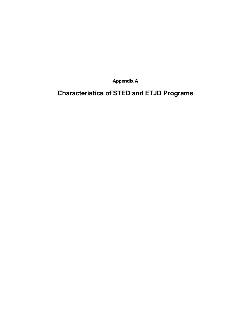**Appendix A**

**Characteristics of STED and ETJD Programs**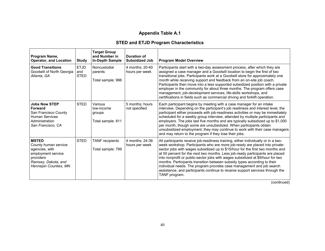# **Appendix Table A.1**

### **STED and ETJD Program Characteristics**

| Program Name,<br><b>Operator, and Location</b>                                                                                            | <b>Study</b>                      | <b>Target Group</b><br>and Number in<br><b>In-Depth Sample</b> | <b>Duration of</b><br><b>Subsidized Job</b> | <b>Program Model Overview</b>                                                                                                                                                                                                                                                                                                                                                                                                                                                                                                                                                                                                                                                |
|-------------------------------------------------------------------------------------------------------------------------------------------|-----------------------------------|----------------------------------------------------------------|---------------------------------------------|------------------------------------------------------------------------------------------------------------------------------------------------------------------------------------------------------------------------------------------------------------------------------------------------------------------------------------------------------------------------------------------------------------------------------------------------------------------------------------------------------------------------------------------------------------------------------------------------------------------------------------------------------------------------------|
| <b>Good Transitions</b><br>Goodwill of North Georgia<br>Atlanta, GA                                                                       | <b>ETJD</b><br>and<br><b>STED</b> | Noncustodial<br>parents<br>Total sample: 996                   | 4 months: 20-40<br>hours per week           | Participants start with a two-day assessment process, after which they are<br>assigned a case manager and a Goodwill location to begin the first of two<br>transitional jobs. Participants work at a Goodwill store for approximately one<br>month while receiving support and feedback from an on-site job coach.<br>Participants then move into a less supported subsidized position with a private<br>employer in the community for about three months. The program offers case<br>management, job-development services, life-skills workshops, and<br>certifications in fields such as commercial driving and forklift operation.                                        |
| <b>Jobs Now STEP</b><br><b>Forward</b><br>San Francisco County<br><b>Human Services</b><br>Administration<br>San Francisco, CA            | <b>STED</b>                       | Various<br>low-income<br>groups<br>Total sample: 811           | 5 months; hours<br>not specified            | Each participant begins by meeting with a case manager for an intake<br>interview. Depending on the participant's job readiness and interest level, the<br>participant either proceeds with job-readiness activities or may be immediately<br>scheduled for a weekly group interview, attended by multiple participants and<br>employers. The jobs last five months and are typically subsidized up to \$1,000<br>per month, though some are unsubsidized. When participants obtain<br>unsubsidized employment, they may continue to work with their case managers<br>and may return to the program if they lose their jobs.                                                 |
| <b>MSTED</b><br>County human service<br>agencies, with<br>employment service<br>providers<br>Ramsey, Dakota, and<br>Hennepin Counties, MN | <b>STED</b>                       | <b>TANF</b> recipients<br>Total sample: 799                    | 4 months: 24-36<br>hours per week           | All participants receive job-readiness training, either individually or in a two-<br>week workshop. Participants who are more job-ready are placed into private-<br>sector jobs with wages subsidized up to \$15/hour for the first two months and<br>at 50 percent for the next two months. Less job-ready participants are placed<br>into nonprofit or public-sector jobs with wages subsidized at \$9/hour for two<br>months. Participants transition between subsidy types according to their<br>individual needs. The program provides case management and job search<br>assistance, and participants continue to receive support services through the<br>TANF program. |

(continued)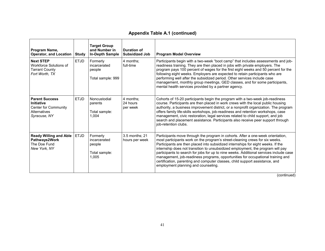#### **Appendix Table A.1 (continued)**

| Program Name,<br><b>Operator, and Location</b>                                                            | <b>Study</b> | <b>Target Group</b><br>and Number in<br><b>In-Depth Sample</b> | Duration of<br><b>Subsidized Job</b> | <b>Program Model Overview</b>                                                                                                                                                                                                                                                                                                                                                                                                                                                                                                                                                                                                              |
|-----------------------------------------------------------------------------------------------------------|--------------|----------------------------------------------------------------|--------------------------------------|--------------------------------------------------------------------------------------------------------------------------------------------------------------------------------------------------------------------------------------------------------------------------------------------------------------------------------------------------------------------------------------------------------------------------------------------------------------------------------------------------------------------------------------------------------------------------------------------------------------------------------------------|
| <b>Next STEP</b><br>Workforce Solutions of<br><b>Tarrant County</b><br>Fort Worth, TX                     | <b>ETJD</b>  | Formerly<br>incarcerated<br>people<br>Total sample: 999        | 4 months:<br>full-time               | Participants begin with a two-week "boot camp" that includes assessments and job-<br>readiness training. They are then placed in jobs with private employers. The<br>program pays 100 percent of wages for the first eight weeks and 50 percent for the<br>following eight weeks. Employers are expected to retain participants who are<br>performing well after the subsidized period. Other services include case<br>management, monthly group meetings, GED classes, and for some participants,<br>mental health services provided by a partner agency.                                                                                 |
| <b>Parent Success</b><br><b>Initiative</b><br><b>Center for Community</b><br>Alternatives<br>Syracuse, NY | <b>ETJD</b>  | Noncustodial<br>parents<br>Total sample:<br>1.004              | 4 months:<br>24 hours<br>per week    | Cohorts of 15-20 participants begin the program with a two-week job-readiness<br>course. Participants are then placed in work crews with the local public housing<br>authority, a business improvement district, or a nonprofit organization. The program<br>offers family life-skills workshops, job-readiness and retention workshops, case<br>management, civic restoration, legal services related to child support, and job<br>search and placement assistance. Participants also receive peer support through<br>iob-retention clubs.                                                                                                |
| <b>Ready Willing and Able</b><br>Pathways2Work<br>The Doe Fund<br>New York, NY                            | <b>ETJD</b>  | Formerly<br>incarcerated<br>people<br>Total sample:<br>1,005   | 3.5 months; 21<br>hours per week     | Participants move through the program in cohorts. After a one-week orientation,<br>most participants work on the program's street-cleaning crews for six weeks.<br>Participants are then placed into subsidized internships for eight weeks. If the<br>internship does not transition to unsubsidized employment, the program will pay<br>participants to search for jobs for up to nine weeks. Additional services include case<br>management, job-readiness programs, opportunities for occupational training and<br>certification, parenting and computer classes, child support assistance, and<br>employment planning and counseling. |

(continued)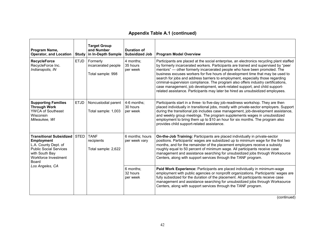# **Appendix Table A.1 (continued)**

| Program Name,<br><b>Operator, and Location</b>                                                                                                                              | <b>Study</b> | <b>Target Group</b><br>and Number<br>in In-Depth Sample | <b>Duration of</b><br><b>Subsidized Job</b> | <b>Program Model Overview</b>                                                                                                                                                                                                                                                                                                                                                                                                                                                                                                                                                                                                                                                         |
|-----------------------------------------------------------------------------------------------------------------------------------------------------------------------------|--------------|---------------------------------------------------------|---------------------------------------------|---------------------------------------------------------------------------------------------------------------------------------------------------------------------------------------------------------------------------------------------------------------------------------------------------------------------------------------------------------------------------------------------------------------------------------------------------------------------------------------------------------------------------------------------------------------------------------------------------------------------------------------------------------------------------------------|
| <b>RecycleForce</b><br>RecycleForce Inc.<br>Indianapolis, IN                                                                                                                | <b>ETJD</b>  | Formerly<br>incarcerated people<br>Total sample: 998    | 4 months;<br>35 hours<br>per week           | Participants are placed at the social enterprise, an electronics recycling plant staffed<br>by formerly incarcerated workers. Participants are trained and supervised by "peer<br>mentors" - other formerly incarcerated people who have been promoted. The<br>business excuses workers for five hours of development time that may be used to<br>search for jobs and address barriers to employment, especially those regarding<br>criminal-supervision compliance. The program also offers industry certifications,<br>case management, job development, work-related support, and child support-<br>related assistance. Participants may later be hired as unsubsidized employees. |
| <b>Supporting Families</b><br><b>Through Work</b><br><b>YWCA of Southeast</b><br>Wisconsin<br>Milwaukee, WI                                                                 | <b>ETJD</b>  | Noncustodial parent<br>Total sample: 1,003              | 4-6 months:<br>30 hours<br>per week         | Participants start in a three- to five-day job-readiness workshop. They are then<br>placed individually in transitional jobs, mostly with private-sector employers. Support<br>during the transitional job includes case management, job-development assistance,<br>and weekly group meetings. The program supplements wages in unsubsidized<br>employment to bring them up to \$10 an hour for six months. The program also<br>provides child support-related assistance.                                                                                                                                                                                                            |
| <b>Transitional Subsidized STED</b><br><b>Employment</b><br>L.A. County Dept. of<br><b>Public Social Services</b><br>with South Bay<br>Workforce Investment<br><b>Board</b> |              | <b>TANF</b><br>recipients<br>Total sample: 2,622        | 6 months; hours<br>per week vary            | On-the-Job Training: Participants are placed individually in private-sector<br>positions. Participants' wages are subsidized up to minimum wage for the first two<br>months, and for the remainder of the placement employers receive a subsidy<br>roughly equal to 50 percent of minimum wage. All participants receive case<br>management and assistance searching for unsubsidized jobs through Worksource<br>Centers, along with support services through the TANF program.                                                                                                                                                                                                       |
| Los Angeles, CA                                                                                                                                                             |              |                                                         | 6 months:<br>32 hours<br>per week           | <b>Paid Work Experience:</b> Participants are placed individually in minimum-wage<br>employment with public agencies or nonprofit organizations. Participants' wages are<br>fully subsidized for the duration of the placement. All participants receive case<br>management and assistance searching for unsubsidized jobs through Worksource<br>Centers, along with support services through the TANF program.                                                                                                                                                                                                                                                                       |

(continued)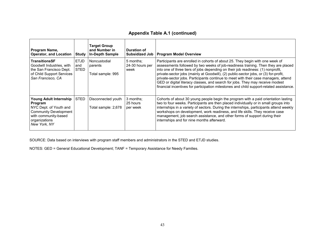#### **Appendix Table A.1 (continued)**

| Program Name,<br><b>Operator, and Location</b>                                                                                                       | Study                             | <b>Target Group</b><br>and Number in<br>In-Depth Sample | Duration of<br><b>Subsidized Job</b> | <b>Program Model Overview</b>                                                                                                                                                                                                                                                                                                                                                                                                                                                                                                                                                                                     |
|------------------------------------------------------------------------------------------------------------------------------------------------------|-----------------------------------|---------------------------------------------------------|--------------------------------------|-------------------------------------------------------------------------------------------------------------------------------------------------------------------------------------------------------------------------------------------------------------------------------------------------------------------------------------------------------------------------------------------------------------------------------------------------------------------------------------------------------------------------------------------------------------------------------------------------------------------|
| <b>TransitionsSF</b><br>Goodwill Industries, with<br>the San Francisco Dept.<br>of Child Support Services<br>San Francisco, CA                       | <b>ETJD</b><br>and<br><b>STED</b> | Noncustodial<br>parents<br>Total sample: 995            | 5 months:<br>24-30 hours per<br>week | Participants are enrolled in cohorts of about 25. They begin with one week of<br>assessments followed by two weeks of job-readiness training. Then they are placed<br>into one of three tiers of jobs depending on their job readiness: (1) nonprofit,<br>private-sector jobs (mainly at Goodwill), (2) public-sector jobs, or (3) for-profit,<br>private-sector jobs. Participants continue to meet with their case managers, attend<br>GED or digital literacy classes, and search for jobs. They may receive modest<br>financial incentives for participation milestones and child support-related assistance. |
| Young Adult Internship<br>Program<br>NYC Dept. of Youth and<br><b>Community Development</b><br>with community-based<br>organizations<br>New York, NY | <b>STED</b>                       | Disconnected youth<br>Total sample: 2,678               | 3 months:<br>25 hours<br>per week    | Cohorts of about 30 young people begin the program with a paid orientation lasting<br>two to four weeks. Participants are then placed individually or in small groups into<br>internships in a variety of sectors. During the internships, participants attend weekly<br>workshops on development, work readiness, and life skills. They receive case<br>management, job search assistance, and other forms of support during their<br>internships and for nine months afterward.                                                                                                                                 |

SOURCE: Data based on interviews with program staff members and administrators in the STED and ETJD studies.

NOTES: GED = General Educational Development; TANF = Temporary Assistance for Needy Families.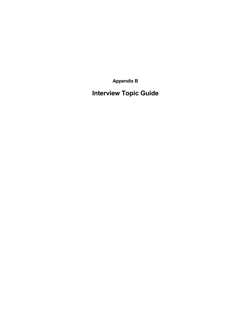**Appendix B**

**Interview Topic Guide**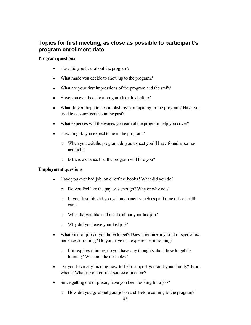# **Topics for first meeting, as close as possible to participant's program enrollment date**

#### **Program questions**

- How did you hear about the program?
- What made you decide to show up to the program?
- What are your first impressions of the program and the staff?
- Have you ever been to a program like this before?
- What do you hope to accomplish by participating in the program? Have you tried to accomplish this in the past?
- What expenses will the wages you earn at the program help you cover?
- How long do you expect to be in the program?
	- o When you exit the program, do you expect you'll have found a permanent job?
	- o Is there a chance that the program will hire you?

#### **Employment questions**

- Have you ever had job, on or off the books? What did you do?
	- o Do you feel like the pay was enough? Why or why not?
	- o In your last job, did you get any benefits such as paid time off or health care?
	- o What did you like and dislike about your last job?
	- o Why did you leave your last job?
- What kind of job do you hope to get? Does it require any kind of special experience or training? Do you have that experience or training?
	- o If it requires training, do you have any thoughts about how to get the training? What are the obstacles?
- Do you have any income now to help support you and your family? From where? What is your current source of income?
- Since getting out of prison, have you been looking for a job?
	- o How did you go about your job search before coming to the program?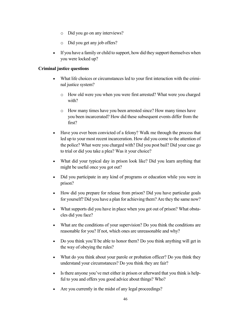- o Did you go on any interviews?
- o Did you get any job offers?
- If you have a family or child to support, how did they support themselves when you were locked up?

#### **Criminal justice questions**

- What life choices or circumstances led to your first interaction with the criminal justice system?
	- o How old were you when you were first arrested? What were you charged with?
	- o How many times have you been arrested since? How many times have you been incarcerated? How did these subsequent events differ from the first?
- Have you ever been convicted of a felony? Walk me through the process that led up to your most recent incarceration. How did you come to the attention of the police? What were you charged with? Did you post bail? Did your case go to trial or did you take a plea? Was it your choice?
- What did your typical day in prison look like? Did you learn anything that might be useful once you got out?
- Did you participate in any kind of programs or education while you were in prison?
- How did you prepare for release from prison? Did you have particular goals for yourself? Did you have a plan for achieving them? Are they the same now?
- What supports did you have in place when you got out of prison? What obstacles did you face?
- What are the conditions of your supervision? Do you think the conditions are reasonable for you? If not, which ones are unreasonable and why?
- Do you think you'll be able to honor them? Do you think anything will get in the way of obeying the rules?
- What do you think about your parole or probation officer? Do you think they understand your circumstances? Do you think they are fair?
- Is there anyone you've met either in prison or afterward that you think is helpful to you and offers you good advice about things? Who?
- Are you currently in the midst of any legal proceedings?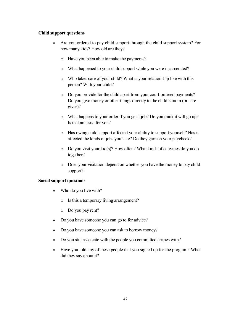#### **Child support questions**

- Are you ordered to pay child support through the child support system? For how many kids? How old are they?
	- o Have you been able to make the payments?
	- o What happened to your child support while you were incarcerated?
	- o Who takes care of your child? What is your relationship like with this person? With your child?
	- o Do you provide for the child apart from your court-ordered payments? Do you give money or other things directly to the child's mom (or caregiver)?
	- o What happens to your order if you get a job? Do you think it will go up? Is that an issue for you?
	- o Has owing child support affected your ability to support yourself? Has it affected the kinds of jobs you take? Do they garnish your paycheck?
	- o Do you visit your kid(s)? How often? What kinds of activities do you do together?
	- o Does your visitation depend on whether you have the money to pay child support?

#### **Social support questions**

- Who do you live with?
	- o Is this a temporary living arrangement?
	- o Do you pay rent?
- Do you have someone you can go to for advice?
- Do you have someone you can ask to borrow money?
- Do you still associate with the people you committed crimes with?
- Have you told any of these people that you signed up for the program? What did they say about it?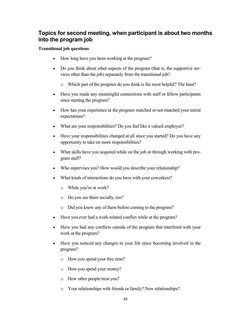# **Topics for second meeting, when participant is about two months into the program job**

#### **Transitional job questions**

- How long have you been working at the program?
- Do you think about other aspects of the program (that is, the supportive services other than the job) separately from the transitional job?
	- o Which part of the program do you think is the most helpful? The least?
- Have you made any meaningful connections with staff or fellow participants since starting the program?
- How has your experience at the program matched or not matched your initial expectations?
- What are your responsibilities? Do you feel like a valued employee?
- Have your responsibilities changed at all since you started? Do you have any opportunity to take on more responsibilities?
- What skills have you acquired while on the job or through working with program staff?
- Who supervises you? How would you describe your relationship?
- What kinds of interactions do you have with your coworkers?
	- o While you're at work?
	- o Do you see them socially, too?
	- o Did you know any of them before coming to the program?
- Have you ever had a work-related conflict while at the program?
- Have you had any conflicts outside of the program that interfered with your work at the program?
- Have you noticed any changes in your life since becoming involved in the program?
	- o How you spend your free time?
	- o How you spend your money?
	- o How other people treat you?
	- o Your relationships with friends or family? New relationships?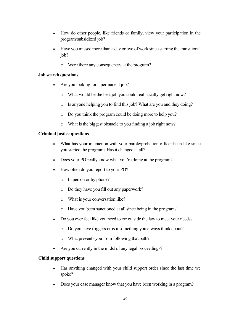- How do other people, like friends or family, view your participation in the program/subsidized job?
- Have you missed more than a day or two of work since starting the transitional job?
	- o Were there any consequences at the program?

#### **Job search questions**

- Are you looking for a permanent job?
	- o What would be the best job you could realistically get right now?
	- o Is anyone helping you to find this job? What are you and they doing?
	- o Do you think the program could be doing more to help you?
	- o What is the biggest obstacle to you finding a job right now?

#### **Criminal justice questions**

- What has your interaction with your parole/probation officer been like since you started the program? Has it changed at all?
- Does your PO really know what you're doing at the program?
- How often do you report to your PO?
	- o In person or by phone?
	- o Do they have you fill out any paperwork?
	- o What is your conversation like?
	- o Have you been sanctioned at all since being in the program?
- Do you ever feel like you need to err outside the law to meet your needs?
	- o Do you have triggers or is it something you always think about?
	- o What prevents you from following that path?
- Are you currently in the midst of any legal proceedings?

#### **Child support questions**

- Has anything changed with your child support order since the last time we spoke?
- Does your case manager know that you have been working in a program?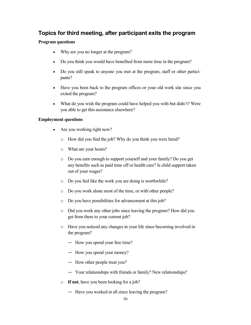# **Topics for third meeting, after participant exits the program**

#### **Program questions**

- Why are you no longer at the program?
- Do you think you would have benefited from more time in the program?
- Do you still speak to anyone you met at the program, staff or other participants?
- Have you been back to the program offices or your old work site since you exited the program?
- What do you wish the program could have helped you with but didn't? Were you able to get this assistance elsewhere?

#### **Employment questions**

- Are you working right now?
	- o How did you find the job? Why do you think you were hired?
	- o What are your hours?
	- o Do you earn enough to support yourself and your family? Do you get any benefits such as paid time off or health care? Is child support taken out of your wages?
	- o Do you feel like the work you are doing is worthwhile?
	- o Do you work alone most of the time, or with other people?
	- o Do you have possibilities for advancement at this job?
	- o Did you work any other jobs since leaving the program? How did you get from there to your current job?
	- o Have you noticed any changes in your life since becoming involved in the program?
		- How you spend your free time?
		- How you spend your money?
		- How other people treat you?
		- Your relationships with friends or family? New relationships?
	- o **If not**, have you been looking for a job?
		- Have you worked at all since leaving the program?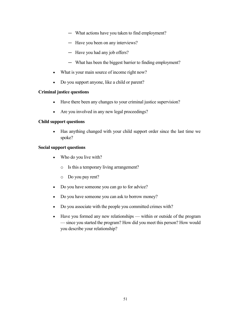- What actions have you taken to find employment?
- Have you been on any interviews?
- Have you had any job offers?
- What has been the biggest barrier to finding employment?
- What is your main source of income right now?
- Do you support anyone, like a child or parent?

#### **Criminal justice questions**

- Have there been any changes to your criminal justice supervision?
- Are you involved in any new legal proceedings?

#### **Child support questions**

• Has anything changed with your child support order since the last time we spoke?

#### **Social support questions**

- Who do you live with?
	- o Is this a temporary living arrangement?
	- o Do you pay rent?
- Do you have someone you can go to for advice?
- Do you have someone you can ask to borrow money?
- Do you associate with the people you committed crimes with?
- Have you formed any new relationships within or outside of the program — since you started the program? How did you meet this person? How would you describe your relationship?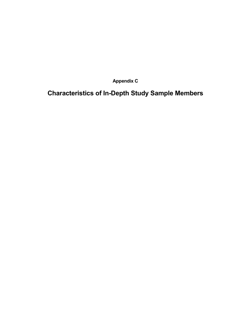**Appendix C**

**Characteristics of In-Depth Study Sample Members**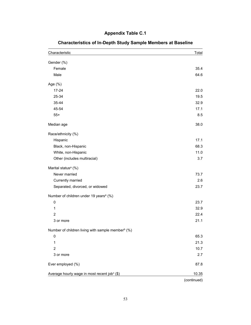# **Appendix Table C.1**

| Characteristic                                                | Total       |
|---------------------------------------------------------------|-------------|
| Gender (%)                                                    |             |
| Female                                                        | 35.4        |
| Male                                                          | 64.6        |
| Age (%)                                                       |             |
| $17 - 24$                                                     | 22.0        |
| 25-34                                                         | 19.5        |
| 35-44                                                         | 32.9        |
| 45-54                                                         | 17.1        |
| $55+$                                                         | 8.5         |
| Median age                                                    | 38.0        |
| Race/ethnicity (%)                                            |             |
| Hispanic                                                      | 17.1        |
| Black, non-Hispanic                                           | 68.3        |
| White, non-Hispanic                                           | 11.0        |
| Other (includes multiracial)                                  | 3.7         |
| Marital status <sup>a</sup> (%)                               |             |
| Never married                                                 | 73.7        |
| Currently married                                             | 2.6         |
| Separated, divorced, or widowed                               | 23.7        |
| Number of children under 19 years <sup>a</sup> (%)            |             |
| $\mathbf 0$                                                   | 23.7        |
| 1                                                             | 32.9        |
| $\overline{2}$                                                | 22.4        |
| 3 or more                                                     | 21.1        |
| Number of children living with sample member <sup>b</sup> (%) |             |
| 0                                                             | 65.3        |
| 1                                                             | 21.3        |
| $\overline{c}$                                                | 10.7        |
| 3 or more                                                     | 2.7         |
| Ever employed (%)                                             | 87.8        |
| Average hourly wage in most recent jobc (\$)                  | 10.35       |
|                                                               | (continued) |

# **Characteristics of In-Depth Study Sample Members at Baseline**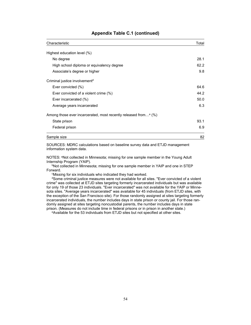| Characteristic                                                              | Total |
|-----------------------------------------------------------------------------|-------|
|                                                                             |       |
| Highest education level (%)                                                 |       |
| No degree                                                                   | 28.1  |
| High school diploma or equivalency degree                                   | 62.2  |
| Associate's degree or higher                                                | 9.8   |
| Criminal justice involvement <sup>d</sup>                                   |       |
| Ever convicted (%)                                                          | 64.6  |
| Ever convicted of a violent crime (%)                                       | 44.2  |
| Ever incarcerated (%)                                                       | 50.0  |
| Average years incarcerated                                                  | 6.3   |
| Among those ever incarcerated, most recently released from <sup>e</sup> (%) |       |
| State prison                                                                | 93.1  |
| Federal prison                                                              | 6.9   |
| Sample size                                                                 | 82    |

#### **Appendix Table C.1 (continued)**

SOURCES: MDRC calculations based on baseline survey data and ETJD management information system data.

NOTES: <sup>a</sup>Not collected in Minnesota; missing for one sample member in the Young Adult Internship Program (YAIP).

bNot collected in Minnesota; missing for one sample member in YAIP and one in STEP Forward.

c Missing for six individuals who indicated they had worked.

dSome criminal justice measures were not available for all sites. "Ever convicted of a violent crime" was collected at ETJD sites targeting formerly incarcerated individuals but was available for only 19 of those 23 individuals. "Ever incarcerated" was not available for the YAIP or Minnesota sites. "Average years incarcerated" was available for 45 individuals (from ETJD sites, with the exception of the San Francisco site). For those randomly assigned at sites targeting formerly incarcerated individuals, the number includes days in state prison or county jail. For those randomly assigned at sites targeting noncustodial parents, the number includes days in state prison. (Measures do not include time in federal prisons or in prison in another state.)

eAvailable for the 53 individuals from ETJD sites but not specified at other sites.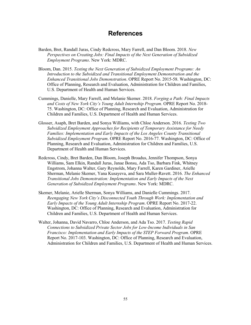# **References**

- Barden, Bret, Randall Juras, Cindy Redcross, Mary Farrell, and Dan Bloom. 2018. *New Perspectives on Creating Jobs: Final Impacts of the Next Generation of Subsidized Employment Programs*. New York: MDRC.
- Bloom, Dan. 2015. *Testing the Next Generation of Subsidized Employment Programs: An Introduction to the Subsidized and Transitional Employment Demonstration and the Enhanced Transitional Jobs Demonstration*. OPRE Report No. 2015-58. Washington, DC: Office of Planning, Research and Evaluation, Administration for Children and Families, U.S. Department of Health and Human Services.
- Cummings, Danielle, Mary Farrell, and Melanie Skemer. 2018. *Forging a Path: Final Impacts and Costs of New York City's Young Adult Internship Program*. OPRE Report No. 2018- 75. Washington, DC: Office of Planning, Research and Evaluation, Administration for Children and Families, U.S. Department of Health and Human Services.
- Glosser, Asaph, Bret Barden, and Sonya Williams, with Chloe Anderson. 2016. *Testing Two Subsidized Employment Approaches for Recipients of Temporary Assistance for Needy Families: Implementation and Early Impacts of the Los Angeles County Transitional Subsidized Employment Program*. OPRE Report No. 2016-77. Washington, DC: Office of Planning, Research and Evaluation, Administration for Children and Families, U.S. Department of Health and Human Services.
- Redcross, Cindy, Bret Barden, Dan Bloom, Joseph Broadus, Jennifer Thompson, Sonya Williams, Sam Elkin, Randall Juras, Janae Bonsu, Ada Tso, Barbara Fink, Whitney Engstrom, Johanna Walter, Gary Reynolds, Mary Farrell, Karen Gardiner, Arielle Sherman, Melanie Skemer, Yana Kusayeva, and Sara Muller-Ravett. 2016. *The Enhanced Transitional Jobs Demonstration: Implementation and Early Impacts of the Next Generation of Subsidized Employment Programs*. New York: MDRC.
- Skemer, Melanie, Arielle Sherman, Sonya Williams, and Danielle Cummings. 2017. *Reengaging New York City's Disconnected Youth Through Work: Implementation and Early Impacts of the Young Adult Internship Program*. OPRE Report No. 2017-22. Washington, DC: Office of Planning, Research and Evaluation, Administration for Children and Families, U.S. Department of Health and Human Services.
- Walter, Johanna, David Navarro, Chloe Anderson, and Ada Tso. 2017. *Testing Rapid Connections to Subsidized Private Sector Jobs for Low-Income Individuals in San Francisco: Implementation and Early Impacts of the STEP Forward Program*. OPRE Report No. 2017-103. Washington, DC: Office of Planning, Research and Evaluation, Administration for Children and Families, U.S. Department of Health and Human Services.